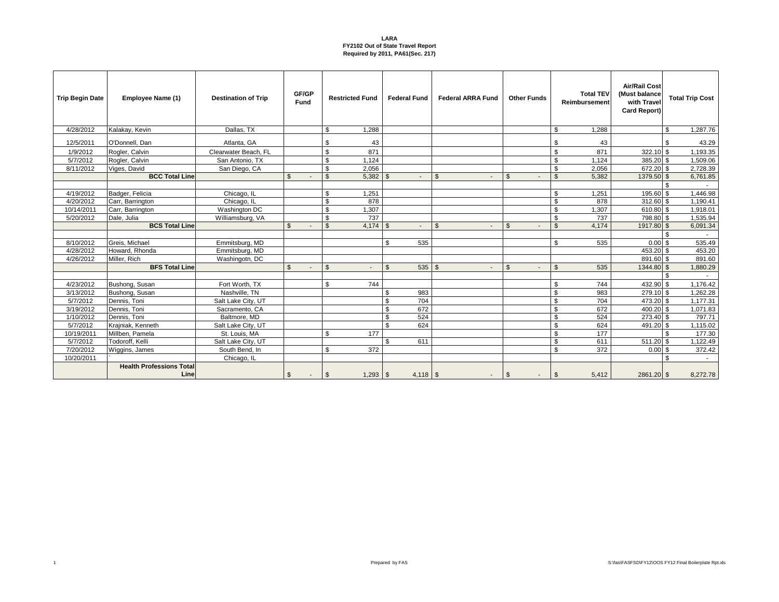| <b>Trip Begin Date</b> | <b>Employee Name (1)</b>                | <b>Destination of Trip</b> | GF/GP<br><b>Fund</b>    | <b>Restricted Fund</b>       | <b>Federal Fund</b>   | <b>Federal ARRA Fund</b> | <b>Other Funds</b> | <b>Total TEV</b><br>Reimbursement | Air/Rail Cost<br>(Must balance<br>with Travel<br>Card Report) | <b>Total Trip Cost</b> |
|------------------------|-----------------------------------------|----------------------------|-------------------------|------------------------------|-----------------------|--------------------------|--------------------|-----------------------------------|---------------------------------------------------------------|------------------------|
| 4/28/2012              | Kalakav, Kevin                          | Dallas, TX                 |                         | \$.<br>1.288                 |                       |                          |                    | \$<br>1.288                       |                                                               | \$<br>1,287.76         |
| 12/5/2011              | O'Donnell, Dan                          | Atlanta, GA                |                         | \$<br>43                     |                       |                          |                    | \$<br>43                          |                                                               | 43.29<br>\$            |
| 1/9/2012               | Rogler, Calvin                          | Clearwater Beach, FL       |                         | $\mathfrak{s}$<br>871        |                       |                          |                    | \$<br>871                         | $322.10$ \$                                                   | 1,193.35               |
| 5/7/2012               | Rogler, Calvin                          | San Antonio, TX            |                         | 1,124<br>\$                  |                       |                          |                    | \$<br>1,124                       | 385.20 \$                                                     | 1,509.06               |
| 8/11/2012              | Viges, David                            | San Diego, CA              |                         | 2,056<br>\$                  |                       |                          |                    | $\mathbb{S}$<br>2,056             | 672.20 \$                                                     | 2,728.39               |
|                        | <b>BCC Total Line</b>                   |                            | $\mathbb{S}$            | $5,382$ \$<br>$\mathfrak{S}$ | $\sim$                | $\mathfrak{S}$<br>$\sim$ | $\mathfrak{S}$     | 5,382<br>$\mathbb{S}$             | 1379.50 \$                                                    | 6,761.85               |
|                        |                                         |                            |                         |                              |                       |                          |                    |                                   |                                                               | ፍ                      |
| 4/19/2012              | Badger, Felicia                         | Chicago, IL                |                         | 1,251                        |                       |                          |                    | \$<br>1,251                       | 195.60 \$                                                     | 1,446.98               |
| 4/20/2012              | Carr, Barrington                        | Chicago, IL                |                         | $\mathbf{s}$<br>878          |                       |                          |                    | $\mathbb{S}$<br>878               | 312.60 \$                                                     | 1,190.41               |
| 10/14/2011             | Carr. Barrington                        | Washington DC              |                         | <b>S</b><br>1.307            |                       |                          |                    | $\mathbb{S}$<br>1,307             | 610.80 \$                                                     | 1,918.01               |
| 5/20/2012              | Dale, Julia                             | Williamsburg, VA           |                         | 737<br>\$                    |                       |                          |                    | \$<br>737                         | 798.80 \$                                                     | 1,535.94               |
|                        | <b>BCS Total Line</b>                   |                            | $\mathfrak{S}$          | $\mathbf{\hat{s}}$           | $\sim$                | $\mathfrak{S}$<br>۰.     | $\mathfrak{S}$     | $\mathbf{\$}$<br>4,174            | 1917.80 \$                                                    | 6,091.34               |
|                        |                                         |                            |                         |                              |                       |                          |                    |                                   |                                                               | \$                     |
| 8/10/2012              | Greis. Michael                          | Emmitsburg, MD             |                         |                              | \$<br>535             |                          |                    | \$<br>535                         | $0.00$ \$                                                     | 535.49                 |
| 4/28/2012              | Howard, Rhonda                          | Emmitsburg, MD             |                         |                              |                       |                          |                    |                                   | 453.20 \$                                                     | 453.20                 |
| 4/26/2012              | Miller, Rich                            | Washingotn, DC             |                         |                              |                       |                          |                    |                                   | 891.60 \$                                                     | 891.60                 |
|                        | <b>BFS Total Line</b>                   |                            | $\mathfrak{S}$          | $\mathbf{s}$                 | $\mathfrak{L}$<br>535 | $\mathfrak{L}$<br>÷      | $\mathbb{S}$       | $\mathbf{\$}$<br>535              | 1344.80 \$                                                    | 1,880.29               |
|                        |                                         |                            |                         |                              |                       |                          |                    |                                   |                                                               |                        |
| 4/23/2012              | Bushong, Susan                          | Fort Worth, TX             |                         | 744                          |                       |                          |                    | \$<br>744                         | 432.90 \$                                                     | 1,176.42               |
| 3/13/2012              | Bushong, Susan                          | Nashville, TN              |                         |                              | 983<br>\$             |                          |                    | $\mathbb{S}$<br>983               | 279.10 \$                                                     | 1,262.28               |
| 5/7/2012               | Dennis, Toni                            | Salt Lake City, UT         |                         |                              | 704<br>\$             |                          |                    | \$<br>704                         | 473.20 \$                                                     | 1,177.31               |
| 3/19/2012              | Dennis, Toni                            | Sacramento, CA             |                         |                              | 672<br>$\mathfrak{L}$ |                          |                    | \$<br>672                         | 400.20 \$                                                     | 1,071.83               |
| 1/10/2012              | Dennis, Toni                            | Baltmore, MD               |                         |                              | 524<br>\$             |                          |                    | \$<br>524                         | 273.40 \$                                                     | 797.71                 |
| 5/7/2012               | Krajniak, Kenneth                       | Salt Lake City, UT         |                         |                              | \$<br>624             |                          |                    | \$<br>624                         | 491.20 \$                                                     | 1,115.02               |
| 10/19/2011             | Millben, Pamela                         | St. Louis, MA              |                         | 177<br>\$.                   |                       |                          |                    | \$<br>177                         |                                                               | 177.30<br>\$           |
| 5/7/2012               | Todoroff. Kelli                         | Salt Lake City, UT         |                         |                              | \$.<br>611            |                          |                    | \$<br>611                         | $511.20$ \$                                                   | 1,122.49               |
| 7/20/2012              | Wiggins, James                          | South Bend, In             |                         | 372<br><b>S</b>              |                       |                          |                    | \$<br>372                         | $0.00$ \$                                                     | 372.42                 |
| 10/20/2011             |                                         | Chicago, IL                |                         |                              |                       |                          |                    |                                   |                                                               | \$<br>$\sim$           |
|                        | <b>Health Professions Total</b><br>Line |                            | $\frac{3}{2}$<br>$\sim$ | $1,293$ \$<br>l \$           |                       | $\sim$                   | \$<br>$\sim$       | 5,412<br>\$                       | 2861.20 \$                                                    | 8,272.78               |

1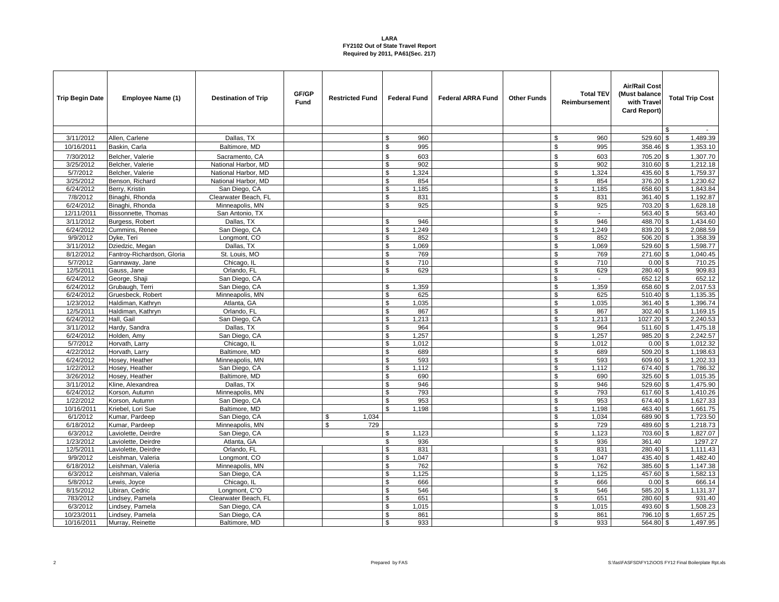| <b>Trip Begin Date</b> | Employee Name (1)             | <b>Destination of Trip</b>   | GF/GP<br>Fund | <b>Restricted Fund</b> |                | <b>Federal Fund</b> | <b>Federal ARRA Fund</b> | <b>Other Funds</b> | <b>Total TEV</b><br>Reimbursement | <b>Air/Rail Cost</b><br>(Must balance<br>with Trave<br>Card Report) |      | <b>Total Trip Cost</b> |
|------------------------|-------------------------------|------------------------------|---------------|------------------------|----------------|---------------------|--------------------------|--------------------|-----------------------------------|---------------------------------------------------------------------|------|------------------------|
|                        |                               |                              |               |                        |                |                     |                          |                    |                                   |                                                                     |      | $\sim$                 |
| 3/11/2012              | Allen, Carlene                | Dallas, TX                   |               |                        | \$             | 960                 |                          |                    | \$<br>960                         | 529.60 \$                                                           |      | 1,489.39               |
| 10/16/2011             | Baskin, Carla                 | Baltimore, MD                |               |                        | $\mathfrak{s}$ | 995                 |                          |                    | \$<br>995                         | 358.46 \$                                                           |      | 1,353.10               |
| 7/30/2012              | Belcher, Valerie              | Sacramento, CA               |               |                        | $\mathfrak{s}$ | 603                 |                          |                    | \$<br>603                         | 705.20 \$                                                           |      | 1,307.70               |
| 3/25/2012              | Belcher, Valerie              | National Harbor, MD          |               |                        | \$             | 902                 |                          |                    | \$<br>902                         | 310.60 \$                                                           |      | 1,212.18               |
| 5/7/2012               | Belcher, Valerie              | National Harbor, MD          |               |                        | \$             | 1,324               |                          |                    | \$<br>1,324                       | 435.60                                                              | l \$ | 1,759.37               |
| 3/25/2012              | Benson, Richard               | National Harbor, MD          |               |                        | \$             | 854                 |                          |                    | \$<br>854                         | 376.20 \$                                                           |      | 1,230.62               |
| 6/24/2012              | Berry, Kristin                | San Diego, CA                |               |                        | $$\mathbb{S}$$ | 1,185               |                          |                    | $\mathfrak s$<br>1,185            | 658.60 \$                                                           |      | 1,843.84               |
| 7/8/2012               | Binaghi, Rhonda               | Clearwater Beach, FL         |               |                        | \$             | 831                 |                          |                    | 831<br>\$                         | 361.40 \$                                                           |      | 1,192.87               |
| 6/24/2012              | Binaghi, Rhonda               | Minneapolis, MN              |               |                        | \$             | 925                 |                          |                    | \$<br>925                         | 703.20 \$                                                           |      | 1,628.18               |
| 12/11/2011             | Bissonnette, Thomas           | San Antonio, TX              |               |                        |                |                     |                          |                    | $\$$<br>$\blacksquare$            | $563.40$ \$                                                         |      | 563.40                 |
| 3/11/2012              | Burgess, Robert               | Dallas, TX                   |               |                        | \$             | 946                 |                          |                    | \$<br>946                         | 488.70 \$                                                           |      | 1,434.60               |
| 6/24/2012              | Cummins, Renee                | San Diego, CA                |               |                        | \$             | 1.249               |                          |                    | \$<br>1,249                       | 839.20 \$                                                           |      | 2,088.59               |
| 9/9/2012               | Dyke, Teri                    | Longmont, CO                 |               |                        | \$             | 852                 |                          |                    | $\overline{\mathcal{S}}$<br>852   | 506.20 \$                                                           |      | 1,358.39               |
| 3/11/2012              | Dziedzic, Megan               | Dallas, TX                   |               |                        | \$             | 1,069               |                          |                    | \$<br>1,069                       | 529.60 \$                                                           |      | 1,598.77               |
| 8/12/2012              | Fantrov-Richardson, Gloria    | St. Louis, MO                |               |                        | \$             | 769                 |                          |                    | \$<br>769                         | 271.60 \$                                                           |      | 1,040.45               |
| 5/7/2012               | Gannaway, Jane                | Chicago, IL                  |               |                        | \$             | 710                 |                          |                    | $\overline{\mathcal{S}}$<br>710   | 0.00S                                                               |      | 710.25                 |
| 12/5/2011              | Gauss, Jane                   | Orlando, FL                  |               |                        | \$             | 629                 |                          |                    | \$<br>629                         | 280.40 \$                                                           |      | 909.83                 |
| 6/24/2012              | George, Shaii                 | San Diego, CA                |               |                        |                |                     |                          |                    | \$<br>$\blacksquare$              | 652.12 \$                                                           |      | 652.12                 |
| 6/24/2012              | Grubaugh, Terri               | San Diego, CA                |               |                        | \$             | 1,359               |                          |                    | $\mathfrak s$<br>1,359            | 658.60 \$                                                           |      | 2,017.53               |
| 6/24/2012              | Gruesbeck, Robert             | Minneapolis, MN              |               |                        | \$             | 625                 |                          |                    | \$<br>625                         | 510.40 \$                                                           |      | 1,135.35               |
| 1/23/2012              | Haldiman, Kathryn             | Atlanta, GA                  |               |                        | \$             | 1,035               |                          |                    | \$<br>1,035                       | 361.40 \$                                                           |      | 1,396.74               |
| 12/5/2011              | Haldiman, Kathryn             | Orlando, FL                  |               |                        | $\mathfrak{s}$ | 867                 |                          |                    | \$<br>867                         | $302.40$ \$                                                         |      | 1,169.15               |
| 6/24/2012              | Hall, Gail                    | San Diego, CA                |               |                        | \$             | 1,213               |                          |                    | \$<br>1,213                       | 1027.20 \$                                                          |      | 2,240.53               |
| 3/11/2012              | Hardy, Sandra                 | Dallas, TX                   |               |                        | \$<br>\$       | 964                 |                          |                    | \$<br>964                         | 511.60 \$                                                           |      | 1,475.18               |
| 6/24/2012<br>5/7/2012  | Holden, Amy<br>Horvath, Larrv | San Diego, CA<br>Chicago, IL |               |                        | \$             | 1,257<br>1.012      |                          |                    | \$<br>1,257<br>\$<br>1.012        | 985.20 \$<br>$0.00$ \$                                              |      | 2,242.57<br>1,012.32   |
| 4/22/2012              | Horvath, Larry                | Baltimore, MD                |               |                        |                | 689                 |                          |                    | \$<br>689                         | 509.20 \$                                                           |      | 1,198.63               |
| 6/24/2012              | Hosey, Heather                | Minneapolis, MN              |               |                        | \$<br>\$       | 593                 |                          |                    | $\overline{\mathbf{S}}$<br>593    | 609.60 \$                                                           |      | 1,202.33               |
| 1/22/2012              | Hosey, Heather                | San Diego, CA                |               |                        | \$             | 1.112               |                          |                    | \$<br>1,112                       | 674.40 \$                                                           |      | 1,786.32               |
| 3/26/2012              | Hosey, Heather                | Baltimore, MD                |               |                        | \$             | 690                 |                          |                    | \$<br>690                         | 325.60 \$                                                           |      | 1,015.35               |
| 3/11/2012              | Kline, Alexandrea             | Dallas, TX                   |               |                        | \$             | 946                 |                          |                    | $\overline{\mathcal{S}}$<br>946   | 529.60 \$                                                           |      | 1,475.90               |
| 6/24/2012              | Korson, Autumn                | Minneapolis, MN              |               |                        | \$             | 793                 |                          |                    | \$<br>793                         | 617.60 \$                                                           |      | 1,410.26               |
| 1/22/2012              | Korson, Autumn                | San Diego, CA                |               |                        | \$             | 953                 |                          |                    | \$<br>953                         | 674.40 \$                                                           |      | 1,627.33               |
| 10/16/2011             | Kriebel, Lori Sue             | Baltimore, MD                |               |                        | \$             | 1,198               |                          |                    | \$<br>1,198                       | 463.40 \$                                                           |      | 1,661.75               |
| 6/1/2012               | Kumar, Pardeep                | San Diego, CA                |               | \$<br>1,034            |                |                     |                          |                    | \$<br>1,034                       | 689.90 \$                                                           |      | 1,723.50               |
| 6/18/2012              | Kumar, Pardeep                | Minneapolis, MN              |               | \$<br>729              |                |                     |                          |                    | \$<br>729                         | 489.60 \$                                                           |      | 1,218.73               |
| 6/3/2012               | Laviolette, Deirdre           | San Diego, CA                |               |                        | \$             | 1,123               |                          |                    | $\mathfrak{S}$<br>1,123           | 703.60 \$                                                           |      | 1,827.07               |
| 1/23/2012              | Laviolette, Deirdre           | Atlanta, GA                  |               |                        | \$             | 936                 |                          |                    | \$<br>936                         | 361.40                                                              |      | 1297.27                |
| 12/5/2011              | Laviolette, Deirdre           | Orlando, FL                  |               |                        | \$             | 831                 |                          |                    | \$<br>831                         | 280.40 \$                                                           |      | 1,111.43               |
| 9/9/2012               | Leishman, Valeria             | Longmont, CO                 |               |                        | $\mathfrak{s}$ | 1.047               |                          |                    | \$<br>1,047                       | 435.40 \$                                                           |      | 1,482.40               |
| 6/18/2012              | Leishman, Valeria             | Minneapolis, MN              |               |                        | \$             | 762                 |                          |                    | \$<br>762                         | 385.60 \$                                                           |      | 1,147.38               |
| 6/3/2012               | eishman, Valeria              | San Diego, CA                |               |                        | \$             | 1,125               |                          |                    | \$<br>1,125                       | 457.60 \$                                                           |      | 1,582.13               |
| 5/8/2012               | Lewis, Joyce                  | Chicago, IL                  |               |                        | \$             | 666                 |                          |                    | $\overline{\mathcal{S}}$<br>666   | 0.00S                                                               |      | 666.14                 |
| 8/15/2012              | Libiran, Cedric               | Longmont, C"O                |               |                        | \$             | 546                 |                          |                    | \$<br>546                         | 585.20 \$                                                           |      | 1,131.37               |
| 783/2012               | Lindsey, Pamela               | Clearwater Beach, FL         |               |                        | \$             | 651                 |                          |                    | \$<br>651                         | 280.60 \$                                                           |      | 931.40                 |
| 6/3/2012               | Lindsey, Pamela               | San Diego, CA                |               |                        | \$             | 1,015               |                          |                    | $\overline{\mathbf{s}}$<br>1,015  | 493.60 \$                                                           |      | 1,508.23               |
| 10/23/2011             | Lindsey, Pamela               | San Diego, CA                |               |                        | \$             | 861                 |                          |                    | $\mathfrak s$<br>861              | 796.10 \$                                                           |      | $\overline{1,657.25}$  |
| 10/16/2011             | Murray, Reinette              | Baltimore, MD                |               |                        | \$             | 933                 |                          |                    | \$<br>933                         | 564.80 \$                                                           |      | 1,497.95               |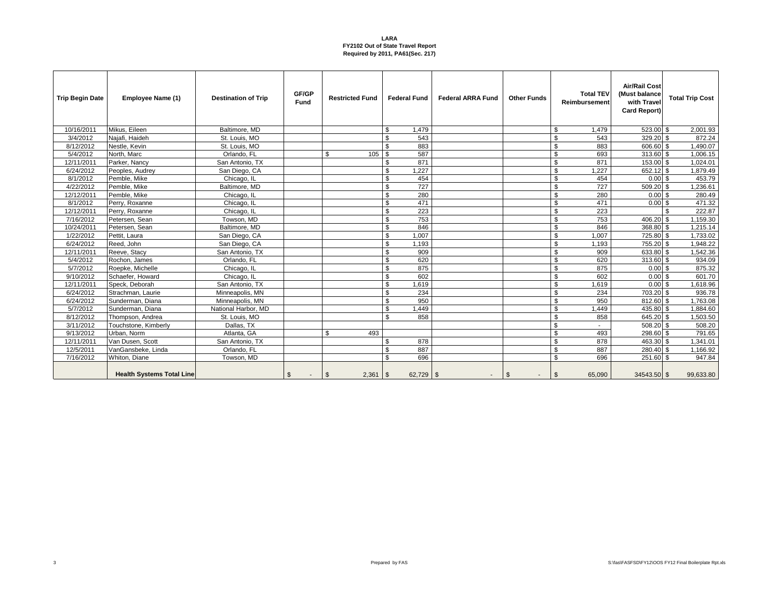| <b>Trip Begin Date</b> | Employee Name (1)                | <b>Destination of Trip</b> | GF/GP<br>Fund | <b>Restricted Fund</b> | <b>Federal Fund</b>       | <b>Federal ARRA Fund</b> | <b>Other Funds</b> | <b>Total TEV</b><br>Reimbursement | <b>Air/Rail Cost</b><br>(Must balance<br>with Travel<br>Card Report) | <b>Total Trip Cost</b> |
|------------------------|----------------------------------|----------------------------|---------------|------------------------|---------------------------|--------------------------|--------------------|-----------------------------------|----------------------------------------------------------------------|------------------------|
| 10/16/2011             | Mikus, Eileen                    | Baltimore, MD              |               |                        | 1,479<br>- \$             |                          |                    | \$<br>1,479                       | 523.00 \$                                                            | 2,001.93               |
| 3/4/2012               | Naiafi, Haideh                   | St. Louis, MO              |               |                        | 543<br>$\mathcal{R}$      |                          |                    | $\mathfrak{S}$<br>543             | $329.20$ \$                                                          | 872.24                 |
| 8/12/2012              | Nestle, Kevin                    | St. Louis, MO              |               |                        | 883<br>\$                 |                          |                    | \$<br>883                         | 606.60 \$                                                            | 1,490.07               |
| 5/4/2012               | North, Marc                      | Orlando, FL                |               | \$<br>105              | <sup>\$</sup><br>587      |                          |                    | $$\mathbb{S}$$<br>693             | 313.60 \$                                                            | 1,006.15               |
| 12/11/2011             | Parker, Nancy                    | San Antonio, TX            |               |                        | 871<br><sup>\$</sup>      |                          |                    | $\mathbb{S}$<br>871               | 153,00 \$                                                            | 1.024.01               |
| 6/24/2012              | Peoples, Audrey                  | San Diego, CA              |               |                        | 1,227<br>\$               |                          |                    | \$<br>1,227                       | 652.12 \$                                                            | 1,879.49               |
| 8/1/2012               | Pemble, Mike                     | Chicago, IL                |               |                        | 454<br>\$                 |                          |                    | \$<br>454                         | $0.00$ \$                                                            | 453.79                 |
| 4/22/2012              | Pemble, Mike                     | Baltimore, MD              |               |                        | 727<br>\$                 |                          |                    | $\mathfrak{S}$<br>727             | $509.20$ \$                                                          | 1,236.61               |
| 12/12/2011             | Pemble, Mike                     | Chicago, IL                |               |                        | \$<br>280                 |                          |                    | \$<br>280                         | $0.00$ \$                                                            | 280.49                 |
| 8/1/2012               | Perry, Roxanne                   | Chicago, IL                |               |                        | 471<br>\$                 |                          |                    | \$<br>471                         | 0.00S                                                                | 471.32                 |
| 12/12/2011             | Perry, Roxanne                   | Chicago, IL                |               |                        | 223<br>\$                 |                          |                    | \$<br>223                         |                                                                      | 222.87<br>\$.          |
| 7/16/2012              | Petersen, Sean                   | Towson, MD                 |               |                        | 753<br>\$                 |                          |                    | \$<br>753                         | 406.20 \$                                                            | 1,159.30               |
| 10/24/2011             | Petersen, Sean                   | Baltimore, MD              |               |                        | 846<br>\$                 |                          |                    | $\mathbf{\hat{s}}$<br>846         | 368.80 \$                                                            | 1,215.14               |
| 1/22/2012              | Pettit, Laura                    | San Diego, CA              |               |                        | 1.007<br>\$               |                          |                    | \$<br>1,007                       | 725.80 \$                                                            | 1,733.02               |
| 6/24/2012              | Reed, John                       | San Diego, CA              |               |                        | <sup>\$</sup><br>1,193    |                          |                    | \$<br>1,193                       | 755.20 \$                                                            | 1,948.22               |
| 12/11/2011             | Reeve, Stacy                     | San Antonio, TX            |               |                        | 909<br>\$                 |                          |                    | $\mathfrak{S}$<br>909             | 633.80 \$                                                            | 1,542.36               |
| 5/4/2012               | Rochon, James                    | Orlando, FL                |               |                        | <sup>\$</sup><br>620      |                          |                    | \$<br>620                         | 313.60 \$                                                            | 934.09                 |
| 5/7/2012               | Roepke, Michelle                 | Chicago, IL                |               |                        | 875<br>$\mathbf{\$}$      |                          |                    | \$<br>875                         | $0.00$ \$                                                            | 875.32                 |
| 9/10/2012              | Schaefer, Howard                 | Chicago, IL                |               |                        | 602<br><sup>\$</sup>      |                          |                    | $$\mathbb{S}$$<br>602             | 0.00S                                                                | 601.70                 |
| 12/11/2011             | Speck, Deborah                   | San Antonio, TX            |               |                        | \$<br>1.619               |                          |                    | \$<br>1,619                       | 0.00S                                                                | 1,618.96               |
| 6/24/2012              | Strachman, Laurie                | Minneapolis, MN            |               |                        | 234<br><sup>\$</sup>      |                          |                    | \$<br>234                         | 703.20 \$                                                            | 936.78                 |
| 6/24/2012              | Sunderman, Diana                 | Minneapolis, MN            |               |                        | \$<br>950                 |                          |                    | $\mathfrak s$<br>950              | 812.60 \$                                                            | 1,763.08               |
| 5/7/2012               | Sunderman, Diana                 | National Harbor, MD        |               |                        | 1,449<br><sup>\$</sup>    |                          |                    | \$<br>1,449                       | 435.80 \$                                                            | 1,884.60               |
| 8/12/2012              | Thompson, Andrea                 | St. Louis, MO              |               |                        | $\mathfrak{L}$<br>858     |                          |                    | $\mathfrak s$<br>858              | 645.20 \$                                                            | 1,503.50               |
| 3/11/2012              | Touchstone, Kimberly             | Dallas, TX                 |               |                        |                           |                          |                    | \$<br>$\sim$                      | $508.20$ \$                                                          | 508.20                 |
| 9/13/2012              | Urban, Norm                      | Atlanta, GA                |               | $\mathbb{S}$<br>493    |                           |                          |                    | \$<br>493                         | 298.60 \$                                                            | 791.65                 |
| 12/11/2011             | Van Dusen, Scott                 | San Antonio, TX            |               |                        | 878<br>- \$               |                          |                    | $\mathfrak s$<br>878              | 463.30 \$                                                            | 1,341.01               |
| 12/5/2011              | VanGansbeke, Linda               | Orlando, FL                |               |                        | 887<br><sup>\$</sup>      |                          |                    | \$<br>887                         | 280.40 \$                                                            | 1,166.92               |
| 7/16/2012              | Whiton, Diane                    | Towson, MD                 |               |                        | 696<br>$\mathbf{\hat{R}}$ |                          |                    | $\mathbf{s}$<br>696               | 251.60 \$                                                            | 947.84                 |
|                        | <b>Health Systems Total Line</b> |                            | \$<br>$\sim$  | \$                     | $62,729$ \$               | $\sim$                   | $\mathfrak{s}$     | 65,090<br>\$                      | 34543.50 \$                                                          | 99,633.80              |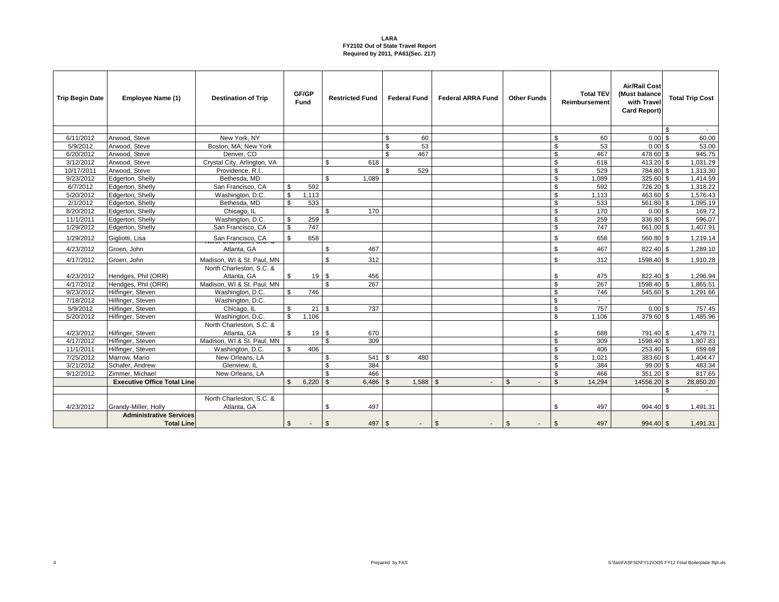| <b>Trip Begin Date</b> | Employee Name (1)                  | <b>Destination of Trip</b>              |                | GF/GP<br>Fund | <b>Restricted Fund</b>  |                    | <b>Federal Fund</b> | <b>Federal ARRA Fund</b> | <b>Other Funds</b>       |                         | <b>Total TEV</b><br>Reimbursement | <b>Air/Rail Cost</b><br>(Must balance<br>with Travel<br>Card Report) |              | <b>Total Trip Cost</b> |
|------------------------|------------------------------------|-----------------------------------------|----------------|---------------|-------------------------|--------------------|---------------------|--------------------------|--------------------------|-------------------------|-----------------------------------|----------------------------------------------------------------------|--------------|------------------------|
|                        |                                    |                                         |                |               |                         |                    |                     |                          |                          |                         |                                   |                                                                      | $\mathbf{s}$ | $\sim$                 |
| 6/11/2012              | Arwood, Steve                      | New York, NY                            |                |               |                         | \$                 | 60                  |                          |                          | \$                      | 60                                | $0.00$ \$                                                            |              | 60.00                  |
| 5/9/2012               | Arwood, Steve                      | Boston, MA: New York                    |                |               |                         | \$                 | 53                  |                          |                          | $\mathfrak s$           | 53                                | 0.00S                                                                |              | 53.00                  |
| 6/20/2012              | Arwood, Steve                      | Denver, CO                              |                |               |                         | \$                 | 467                 |                          |                          | \$                      | 467                               | 478.60 \$                                                            |              | 945.75                 |
| 3/12/2012              | Arwood, Steve                      | Crystal City, Arlington, VA             |                |               | \$.<br>618              |                    |                     |                          |                          | \$                      | 618                               | 413.20 \$                                                            |              | 1,031.29               |
| 10/17/2011             | Arwood, Steve                      | Providence, R.I.                        |                |               |                         | \$                 | 529                 |                          |                          | $\mathfrak s$           | 529                               | 784.80 \$                                                            |              | 1,313.30               |
| 9/23/2012              | Edgerton, Shelly                   | Bethesda, MD                            |                |               | \$<br>1,089             |                    |                     |                          |                          | \$                      | 1,089                             | 325.60 \$                                                            |              | 1,414.59               |
| 6/7/2012               | Edgerton, Shelly                   | San Francisco, CA                       | \$             | 592           |                         |                    |                     |                          |                          | \$                      | 592                               | 726.20 \$                                                            |              | 1,318.22               |
| 5/20/2012              | Edgerton, Shelly                   | Washington, D.C.                        | \$             | 1,113         |                         |                    |                     |                          |                          | \$                      | 1,113                             | 463.60 \$                                                            |              | 1,576.43               |
| 2/1/2012               | Edgerton, Shelly                   | Bethesda, MD                            | \$             | 533           |                         |                    |                     |                          |                          | $\overline{\mathbf{s}}$ | 533                               | 561.80 \$                                                            |              | 1,095.19               |
| 8/20/2012              | Edgerton, Shelly                   | Chicago, IL                             |                |               | \$<br>170               |                    |                     |                          |                          | \$                      | 170                               | 0.00S                                                                |              | 169.72                 |
| 11/1/2011              | Edgerton, Shelly                   | Washington, D.C.                        | \$             | 259           |                         |                    |                     |                          |                          | $\mathfrak s$           | 259                               | 336.80 \$                                                            |              | 596.07                 |
| 1/29/2012              | Edgerton, Shelly                   | San Francisco, CA                       | $\mathbb{S}$   | 747           |                         |                    |                     |                          |                          | $\mathfrak{S}$          | 747                               | 661.00 \$                                                            |              | 1,407.91               |
| 1/29/2012              | Gigliotti, Lisa                    | San Francisco, CA                       | \$             | 658           |                         |                    |                     |                          |                          | \$                      | 658                               | 560.80 \$                                                            |              | 1,219.14               |
| 4/23/2012              | Groen, John                        | Atlanta, GA                             |                |               | 467<br>\$               |                    |                     |                          |                          | \$                      | 467                               | 822.40 \$                                                            |              | 1,289.10               |
| 4/17/2012              | Groen, John                        | Madison, WI & St. Paul, MN              |                |               | \$<br>312               |                    |                     |                          |                          | \$                      | 312                               | 1598.40 \$                                                           |              | 1,910.28               |
| 4/23/2012              | Hendges, Phil (ORR)                | North Charleston, S.C. &<br>Atlanta, GA | S.             | 19S           | 456                     |                    |                     |                          |                          | \$                      | 475                               | 822.40 \$                                                            |              | 1,296.94               |
| 4/17/2012              | Hendges, Phil (ORR)                | Madison, WI & St. Paul, MN              |                |               | 267                     |                    |                     |                          |                          | $\mathfrak s$           | 267                               | 1598.40 \$                                                           |              | 1,865.51               |
| 9/23/2012              | Hilfinger, Steven                  | Washington, D.C.                        | \$             | 746           |                         |                    |                     |                          |                          | \$                      | 746                               | 545.60 \$                                                            |              | 1,291.66               |
| 7/18/2012              | Hilfinger, Steven                  | Washington, D.C.                        |                |               |                         |                    |                     |                          |                          | \$                      | $\mathbf{r}$                      |                                                                      |              |                        |
| 5/9/2012               | Hilfinger, Steven                  | Chicago, IL                             | \$             | 21            | 737<br>\$               |                    |                     |                          |                          | \$                      | 757                               | 0.00S                                                                |              | 757.45                 |
| 5/20/2012              | Hilfinger, Steven                  | Washington, D.C.                        | $\mathfrak{L}$ | 1.106         |                         |                    |                     |                          |                          | \$                      | 1.106                             | 379.60 \$                                                            |              | 1,485.96               |
|                        |                                    | North Charleston, S.C. &                |                |               |                         |                    |                     |                          |                          |                         |                                   |                                                                      |              |                        |
| 4/23/2012              | Hilfinger, Steven                  | Atlanta, GA                             | \$             | 19S           | 670                     |                    |                     |                          |                          | \$                      | 688                               | 791.40 \$                                                            |              | 1,479.71               |
| 4/17/2012              | Hilfinger, Steven                  | Madison, WI & St. Paul, MN              |                |               | \$<br>309               |                    |                     |                          |                          | $\mathfrak s$           | 309                               | 1598.40 \$                                                           |              | 1,907.83               |
| 11/1/2011              | Hilfinger, Steven                  | Washington, D.C.                        | \$             | 406           |                         |                    |                     |                          |                          | \$                      | 406                               | 253.40 \$                                                            |              | 659.69                 |
| 7/25/2012              | Marrow. Mario                      | New Orleans, LA                         |                |               | \$<br>541               | \$.                | 480                 |                          |                          | \$                      | 1,021                             | 383.60 \$                                                            |              | 1,404.47               |
| 3/21/2012              | Schafer, Andrew                    | Glenview. IL                            |                |               | 384<br>£.               |                    |                     |                          |                          | \$                      | 384                               | 99.00 \$                                                             |              | 483.34                 |
| 9/12/2012              | Zimmer, Michael                    | New Orleans, LA                         |                |               | 466<br>£.               |                    |                     |                          |                          | \$                      | 466                               | $351.20$ \$                                                          |              | 817.65                 |
|                        | <b>Executive Office Total Line</b> |                                         | $\mathbf{s}$   | 6,220         | $\mathbf{s}$<br>6,486   | $\mathbf{\hat{s}}$ | 1,588               | $\mathfrak{s}$<br>$\sim$ | $\mathfrak{S}$           | $\mathbb{S}$            | 14,294                            | 14556.20 \$                                                          |              | 28,850.20              |
|                        |                                    |                                         |                |               |                         |                    |                     |                          |                          |                         |                                   |                                                                      | ፍ            |                        |
| 4/23/2012              | Grandy-Miller, Holly               | North Charleston, S.C. &<br>Atlanta, GA |                |               | 497<br>S                |                    |                     |                          |                          | \$                      | 497                               | 994.40 \$                                                            |              | 1,491.31               |
|                        | <b>Administrative Services</b>     |                                         |                |               |                         |                    |                     |                          |                          |                         |                                   |                                                                      |              |                        |
|                        | <b>Total Line</b>                  |                                         | $\sqrt[6]{2}$  | $\sim$        | $\mathbf{\$}$<br>497 \$ |                    |                     | $\mathfrak{s}$           | $\mathfrak{s}$<br>$\sim$ | $\mathfrak{s}$          | 497                               | 994.40 \$                                                            |              | 1,491.31               |

4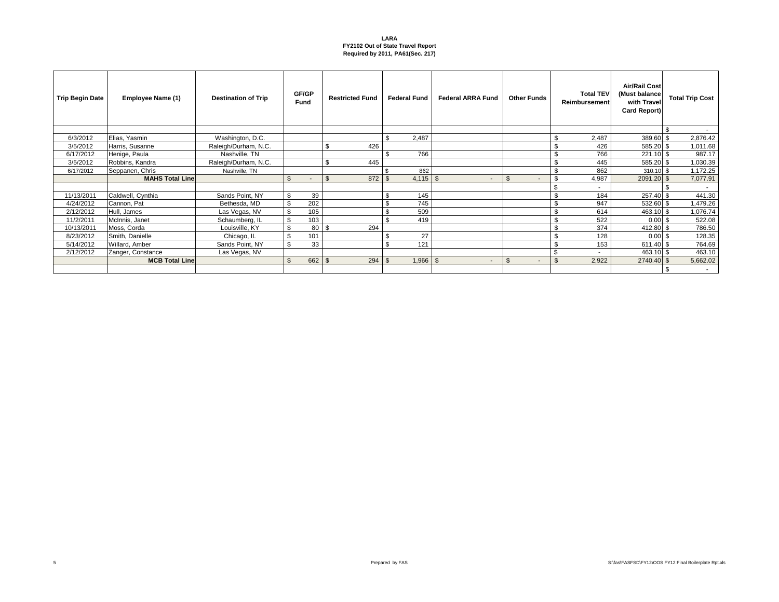| <b>Trip Begin Date</b> | Employee Name (1)      | <b>Destination of Trip</b> |                | GF/GP<br>Fund | <b>Restricted Fund</b> |     | <b>Federal Fund</b> | <b>Federal ARRA Fund</b> | <b>Other Funds</b>                         |                | <b>Total TEV</b><br><b>Reimbursement</b> | <b>Air/Rail Cost</b><br>(Must balance<br>with Travel<br><b>Card Report)</b> | <b>Total Trip Cost</b> |
|------------------------|------------------------|----------------------------|----------------|---------------|------------------------|-----|---------------------|--------------------------|--------------------------------------------|----------------|------------------------------------------|-----------------------------------------------------------------------------|------------------------|
|                        |                        |                            |                |               |                        |     |                     |                          |                                            |                |                                          |                                                                             | $\sim$                 |
| 6/3/2012               | Elias, Yasmin          | Washington, D.C.           |                |               |                        | \$. | 2,487               |                          |                                            | \$             | 2,487                                    | 389.60 \$                                                                   | 2,876.42               |
| 3/5/2012               | Harris, Susanne        | Raleigh/Durham, N.C.       |                |               | \$<br>426              |     |                     |                          |                                            | \$             | 426                                      | 585.20 \$                                                                   | 1,011.68               |
| 6/17/2012              | Henige, Paula          | Nashville, TN              |                |               |                        |     | 766                 |                          |                                            | \$             | 766                                      | $221.10$ \$                                                                 | 987.17                 |
| 3/5/2012               | Robbins, Kandra        | Raleigh/Durham, N.C.       |                |               | \$.<br>445             |     |                     |                          |                                            | \$             | 445                                      | 585.20 \$                                                                   | 1,030.39               |
| 6/17/2012              | Seppanen, Chris        | Nashville, TN              |                |               |                        |     | 862                 |                          |                                            | \$             | 862                                      | $310.10$ \$                                                                 | 1,172.25               |
|                        | <b>MAHS Total Line</b> |                            | $\mathsf{\$}$  | $\sim$        | $\mathbb{S}$<br>872    | -\$ | $4,115$ \\$         | $\sim$                   | $\mathfrak{L}$<br>$\overline{\phantom{a}}$ |                | 4,987                                    | 2091.20 \$                                                                  | 7,077.91               |
|                        |                        |                            |                |               |                        |     |                     |                          |                                            | \$             | $\overline{\phantom{a}}$                 |                                                                             | $\sim$                 |
| 11/13/2011             | Caldwell, Cynthia      | Sands Point, NY            | \$             | 39            |                        |     | 145                 |                          |                                            | \$             | 184                                      | 257.40 \$                                                                   | 441.30                 |
| 4/24/2012              | Cannon, Pat            | Bethesda, MD               | \$             | 202           |                        |     | 745                 |                          |                                            | \$             | 947                                      | 532.60 \$                                                                   | 1,479.26               |
| 2/12/2012              | Hull, James            | Las Vegas, NV              | \$             | 105           |                        |     | 509                 |                          |                                            | \$             | 614                                      | 463.10 \$                                                                   | 1,076.74               |
| 11/2/2011              | McInnis, Janet         | Schaumberg, IL             | \$             | 103           |                        |     | 419                 |                          |                                            | \$             | 522                                      | $0.00$ \$                                                                   | 522.08                 |
| 10/13/2011             | Moss, Corda            | Louisville, KY             | \$             | 80 l          | 294<br>- \$            |     |                     |                          |                                            | \$             | 374                                      | 412.80 \$                                                                   | 786.50                 |
| 8/23/2012              | Smith, Danielle        | Chicago, IL                | \$             | 101           |                        |     | 27                  |                          |                                            | \$             | 128                                      | $0.00$ \$                                                                   | 128.35                 |
| 5/14/2012              | Willard, Amber         | Sands Point, NY            | \$             | 33            |                        |     | 121                 |                          |                                            | \$             | 153                                      | 611.40 \$                                                                   | 764.69                 |
| 2/12/2012              | Zanger, Constance      | Las Vegas, NV              |                |               |                        |     |                     |                          |                                            | \$             |                                          | 463.10 \$                                                                   | 463.10                 |
|                        | <b>MCB Total Line</b>  |                            | $\mathfrak{L}$ | 662           | $\mathbf{\$}$<br>294   | \$  | $1,966$ \ \$        | $\sim$                   | $\mathfrak{s}$<br>$\overline{\phantom{a}}$ | $\mathfrak{S}$ | 2,922                                    | 2740.40 \$                                                                  | 5,662.02               |
|                        |                        |                            |                |               |                        |     |                     |                          |                                            |                |                                          |                                                                             | $\sim$                 |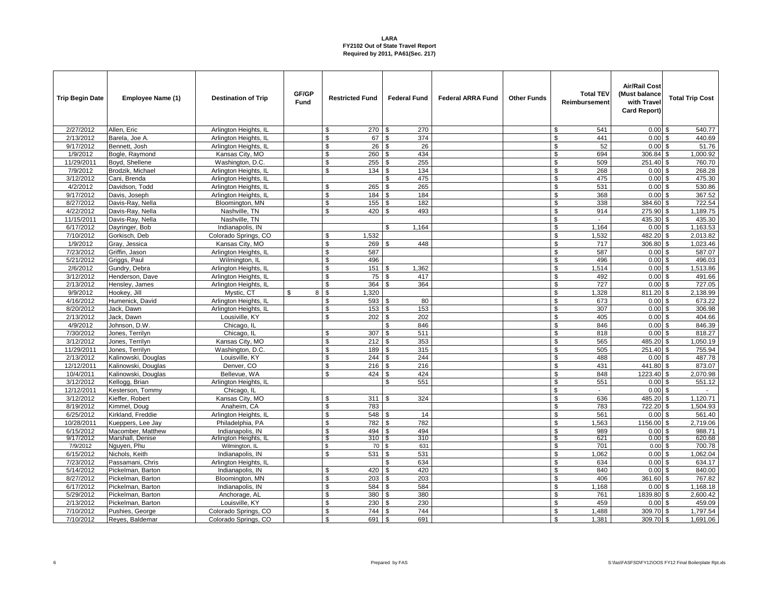| <b>Trip Begin Date</b> | Employee Name (1)   | <b>Destination of Trip</b> | GF/GP<br>Fund | <b>Restricted Fund</b>   | <b>Federal Fund</b>   | <b>Federal ARRA Fund</b> | <b>Other Funds</b> | <b>Total TEV</b><br>Reimbursement | <b>Air/Rail Cost</b><br>(Must balance<br>with Trave<br>Card Report) | <b>Total Trip Cost</b> |
|------------------------|---------------------|----------------------------|---------------|--------------------------|-----------------------|--------------------------|--------------------|-----------------------------------|---------------------------------------------------------------------|------------------------|
| 2/27/2012              | Allen, Eric         | Arlington Heights, IL      |               | \$<br>270 \$             | 270                   |                          |                    | \$<br>541                         | $0.00$ \$                                                           | 540.77                 |
| 2/13/2012              | Barela, Joe A.      | Arlington Heights, IL      |               | 67 \$<br>\$              | 374                   |                          |                    | \$<br>441                         | $0.00$ \$                                                           | 440.69                 |
| 9/17/2012              | Bennett, Josh       | Arlington Heights, IL      |               | \$<br>26                 | \$<br>26              |                          |                    | \$<br>52                          | 0.00                                                                | 51.76<br>\$            |
| 1/9/2012               | Bogle, Raymond      | Kansas City, MO            |               | \$<br>260                | 434<br>\$             |                          |                    | \$<br>694                         | 306.84                                                              | $\sqrt{3}$<br>1,000.92 |
| 11/29/2011             | Boyd, Shellene      | Washington, D.C.           |               | $\mathbb{S}$<br>$255$ \$ | 255                   |                          |                    | \$<br>509                         | 251.40 \$                                                           | 760.70                 |
| 7/9/2012               | Brodzik, Michael    | Arlington Heights, IL      |               | 134<br>\$                | \$<br>134             |                          |                    | \$<br>268                         | $0.00$ \$                                                           | 268.28                 |
| 3/12/2012              | Cani, Brenda        | Arlington Heights, IL      |               |                          | 475<br>\$             |                          |                    | \$<br>475                         | $0.00$ \$                                                           | 475.30                 |
| 4/2/2012               | Davidson, Todd      | Arlington Heights, II      |               | \$<br>265                | \$<br>265             |                          |                    | \$<br>531                         | 0.00                                                                | 530.86<br>\$           |
| 9/17/2012              | Davis, Joseph       | Arlington Heights, IL      |               | \$<br>184                | \$<br>184             |                          |                    | \$<br>368                         | $0.00$ \$                                                           | 367.52                 |
| 8/27/2012              | Davis-Ray, Nella    | Bloomington, MN            |               | $155$ \$<br>\$           | 182                   |                          |                    | $\overline{\mathbf{s}}$<br>338    | 384.60 \$                                                           | 722.54                 |
| 4/22/2012              | Davis-Ray, Nella    | Nashville, TN              |               | 420<br>\$                | 493<br>\$             |                          |                    | $\mathfrak s$<br>914              | 275.90 \$                                                           | 1,189.75               |
| 11/15/2011             | Davis-Ray, Nella    | Nashville, TN              |               |                          |                       |                          |                    | \$<br>$\blacksquare$              | 435.30 \$                                                           | 435.30                 |
| 6/17/2012              | Dayringer, Bob      | Indianapolis, IN           |               |                          | 1,164<br>\$           |                          |                    | \$<br>1,164                       | $0.00$ \$                                                           | 1,163.53               |
| 7/10/2012              | Gorkisch, Deb       | Colorado Springs, CO       |               | \$<br>1,532              |                       |                          |                    | $\mathfrak s$<br>1,532            | 482.20 \$                                                           | 2,013.82               |
| 1/9/2012               | Gray, Jessica       | Kansas City, MO            |               | \$<br>269                | 448                   |                          |                    | \$<br>717                         | 306.80 \$                                                           | 1,023.46               |
| 7/23/2012              | Griffin, Jason      | Arlington Heights, IL      |               | 587<br>\$                |                       |                          |                    | \$<br>587                         | $0.00$ \$                                                           | 587.07                 |
| 5/21/2012              | Griggs, Paul        | Wilmington, IL             |               | \$<br>496                |                       |                          |                    | \$<br>496                         | $0.00$ \$                                                           | 496.03                 |
| 2/6/2012               | Gundry, Debra       | Arlington Heights, IL      |               | \$<br>151                | 1,362<br>\$           |                          |                    | \$<br>1,514                       | $0.00$ \$                                                           | 1,513.86               |
| 3/12/2012              | Henderson, Dave     | Arlington Heights, IL      |               | 75<br>\$                 | \$<br>417             |                          |                    | \$<br>492                         | $0.00$ \$                                                           | 491.66                 |
| 2/13/2012              | Hensley, James      | Arlington Heights, IL      |               | \$<br>364                | $\mathfrak{L}$<br>364 |                          |                    | \$<br>727                         | $0.00$ \$                                                           | 727.05                 |
| 9/9/2012               | Hookey, Jill        | Mystic, CT                 | 8 \$<br>\$    | 1,320                    |                       |                          |                    | \$<br>1,328                       | 811.20                                                              | 2,138.99<br>\$         |
| 4/16/2012              | Humenick, David     | Arlington Heights, IL      |               | 593 \$<br>\$             | 80                    |                          |                    | \$<br>673                         | $0.00$ \$                                                           | 673.22                 |
| 8/20/2012              | Jack, Dawn          | Arlington Heights, IL      |               | 153<br>\$                | 153<br>\$             |                          |                    | $\overline{\mathbf{s}}$<br>307    | $0.00$ \$                                                           | 306.98                 |
| 2/13/2012              | Jack. Dawn          | Lousiville, KY             |               | 202<br>\$                | 202<br>\$             |                          |                    | \$<br>405                         | $0.00$ \$                                                           | 404.66                 |
| 4/9/2012               | Johnson, D.W.       | Chicago, IL                |               |                          | \$<br>846             |                          |                    | \$<br>846                         | $0.00$ \$                                                           | 846.39                 |
| 7/30/2012              | Jones, Terrilyn     | Chicago, IL                |               | 307<br>£.                | $\mathfrak{R}$<br>511 |                          |                    | \$<br>818                         | 0.00                                                                | 818.27<br>\$           |
| 3/12/2012              | Jones, Terrilyn     | Kansas City, MO            |               | \$<br>212                | 353<br>\$             |                          |                    | \$<br>565                         | 485.20 \$                                                           | 1,050.19               |
| 11/29/2011             | Jones, Terrilyn     | Washington, D.C.           |               | 189<br>\$                | \$<br>315             |                          |                    | \$<br>505                         | 251.40 \$                                                           | 755.94                 |
| 2/13/2012              | Kalinowski, Douglas | Louisville, KY             |               | 244<br>\$                | 244<br>\$             |                          |                    | \$<br>488                         | $0.00$ \$                                                           | 487.78                 |
| 12/12/2011             | Kalinowski, Douglas | Denver, CO                 |               | \$<br>216                | \$<br>216             |                          |                    | \$<br>431                         | 441.80 \$                                                           | 873.07                 |
| 10/4/2011              | Kalinowski, Douglas | Bellevue, WA               |               | 424<br>\$                | \$<br>424             |                          |                    | \$<br>848                         | 1223.40 \$                                                          | 2,070.98               |
| 3/12/2012              | Kellogg, Brian      | Arlington Heights, IL      |               |                          | \$<br>551             |                          |                    | \$<br>551                         | $0.00$ \$                                                           | 551.12                 |
| 12/12/2011             | Kesterson, Tommy    | Chicago, IL                |               |                          |                       |                          |                    | \$                                | $0.00$ \$                                                           |                        |
| 3/12/2012              | Kieffer, Robert     | Kansas City, MO            |               | 311<br>\$                | 324                   |                          |                    | \$<br>636                         | 485.20 \$                                                           | 1,120.71               |
| 8/19/2012              | Kimmel, Doug        | Anaheim, CA                |               | \$<br>783                |                       |                          |                    | \$<br>783                         | 722.20 \$                                                           | 1,504.93               |
| 6/25/2012              | Kirkland, Freddie   | Arlington Heights, IL      |               | \$<br>548                | 14<br>\$              |                          |                    | \$<br>561                         | $0.00$ \$                                                           | 561.40                 |
| 10/28/2011             | Kueppers, Lee Jay   | Philadelphia, PA           |               | \$<br>782                | <b>S</b><br>782       |                          |                    | \$<br>1,563                       | 1156.00 \$                                                          | 2,719.06               |
| 6/15/2012              | Macomber, Matthew   | Indianapolis, IN           |               | $\mathbf{\$}$<br>494 \$  | 494                   |                          |                    | $\mathfrak{S}$<br>989             | $0.00$ \$                                                           | 988.71                 |
| 9/17/2012              | Marshall, Denise    | Arlington Heights, IL      |               | 310 S<br>-S              | 310                   |                          |                    | 621<br>-S                         | 0.00S                                                               | 620.68                 |
| 7/9/2012               | Nguyen, Phu         | Wilmington, IL             |               | \$<br>70                 | \$<br>631             |                          |                    | \$<br>701                         | $0.00$ \$                                                           | 700.78                 |
| 6/15/2012              | Nichols, Keith      | Indianapolis, IN           |               | 531<br>\$                | 531<br>\$             |                          |                    | \$<br>1,062                       | $0.00$ \$                                                           | 1,062.04               |
| 7/23/2012              | Passamani, Chris    | Arlington Heights, IL      |               |                          | 634<br>\$             |                          |                    | \$<br>634                         | 0.00                                                                | \$<br>634.17           |
| 5/14/2012              | Pickelman, Barton   | Indianapolis, IN           |               | 420<br>£.                | <b>S</b><br>420       |                          |                    | $\mathfrak s$<br>840              | 0.00                                                                | 840.00<br>\$           |
| 8/27/2012              | Pickelman, Barton   | Bloomington, MN            |               | 203<br>\$                | 203<br>\$             |                          |                    | \$<br>406                         | 361.60 \$                                                           | 767.82                 |
| 6/17/2012              | Pickelman, Barton   | Indianapolis, IN           |               | \$<br>584                | 584<br>\$             |                          |                    | \$<br>1,168                       | $0.00$ \$                                                           | 1,168.18               |
| 5/29/2012              | Pickelman, Barton   | Anchorage, AL              |               | \$<br>380                | 380<br>\$             |                          |                    | \$<br>761                         | 1839.80 \$                                                          | 2,600.42               |
| 2/13/2012              | Pickelman, Barton   | Louisville, KY             |               | \$<br>230                | 230<br>\$             |                          |                    | \$<br>459                         | $0.00$ \$                                                           | 459.09                 |
| 7/10/2012              | Pushies, George     | Colorado Springs, CO       |               | 744                      | 744<br>\$             |                          |                    | \$<br>1,488                       | 309.70 \$                                                           | 1,797.54               |
| 7/10/2012              | Reyes, Baldemar     | Colorado Springs, CO       |               | 691<br>\$                | 691<br>-S             |                          |                    | \$<br>1.381                       | 309.70 \$                                                           | 1,691.06               |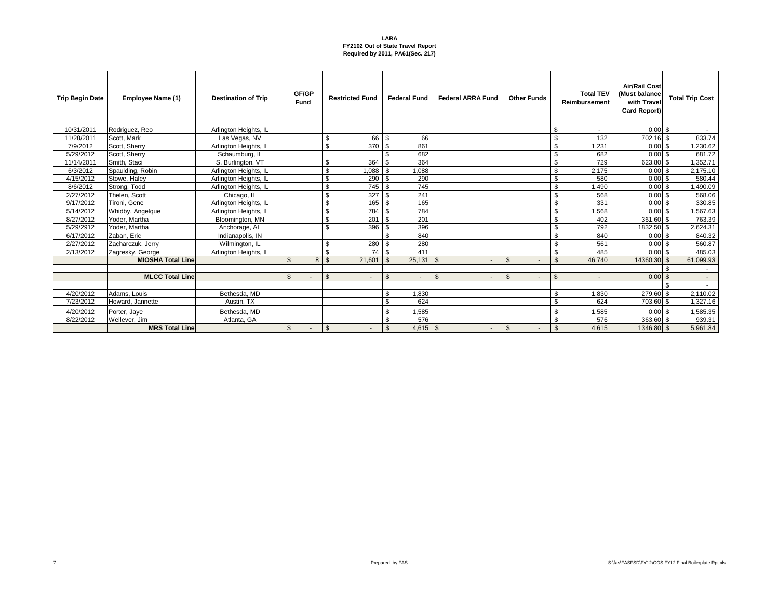| <b>Trip Begin Date</b> | Employee Name (1)        | <b>Destination of Trip</b> | GF/GP<br><b>Fund</b> |   | <b>Restricted Fund</b>       | <b>Federal Fund</b>                        | <b>Federal ARRA Fund</b>         | <b>Other Funds</b> | <b>Total TEV</b><br>Reimbursement | <b>Air/Rail Cost</b><br>(Must balance<br>with Trave<br>Card Report) |                | <b>Total Trip Cost</b> |
|------------------------|--------------------------|----------------------------|----------------------|---|------------------------------|--------------------------------------------|----------------------------------|--------------------|-----------------------------------|---------------------------------------------------------------------|----------------|------------------------|
| 10/31/2011             | Rodriguez, Reo           | Arlington Heights, IL      |                      |   |                              |                                            |                                  |                    | \$<br>$\overline{\phantom{a}}$    | 0.00                                                                | \$.            | $\sim$                 |
| 11/28/2011             | Scott. Mark              | Las Vegas, NV              |                      |   | \$<br>66                     | -S<br>66                                   |                                  |                    | \$<br>132                         | 702.16                                                              | \$             | 833.74                 |
| 7/9/2012               | Scott, Sherry            | Arlington Heights, IL      |                      |   | \$<br>370                    | - \$<br>861                                |                                  |                    | \$<br>1,231                       | 0.00                                                                | \$             | 1,230.62               |
| 5/29/2012              | Scott, Sherry            | Schaumburg, IL             |                      |   |                              | 682<br>-8                                  |                                  |                    | \$<br>682                         | 0.00                                                                | \$             | 681.72                 |
| 11/14/2011             | Smith, Staci             | S. Burlington, VT          |                      |   | \$.<br>364                   | 364<br>. ጽ                                 |                                  |                    | \$<br>729                         | 623.80                                                              | \$.            | 1,352.71               |
| 6/3/2012               | Spaulding, Robin         | Arlington Heights, IL      |                      |   | \$<br>880.1                  | 1,088<br>-\$                               |                                  |                    | \$<br>2,175                       | 0.00                                                                | \$             | 2,175.10               |
| 4/15/2012              | Stowe, Halev             | Arlington Heights, IL      |                      |   | \$<br>290                    | 290<br>$\mathbf{\hat{S}}$                  |                                  |                    | \$<br>580                         | 0.00                                                                | \$             | 580.44                 |
| 8/6/2012               | Strong, Todd             | Arlington Heights, IL      |                      |   | $\mathbb{S}$<br>745          | 745<br>-\$                                 |                                  |                    | \$<br>1.490                       | 0.00                                                                | \$.            | 1,490.09               |
| 2/27/2012              | Thelen, Scott            | Chicago, IL                |                      |   | \$<br>327                    | 241<br>\$                                  |                                  |                    | \$<br>568                         | 0.00                                                                | \$             | 568.06                 |
| 9/17/2012              | Tironi, Gene             | Arlington Heights, IL      |                      |   | \$<br>165                    | 165<br>- \$                                |                                  |                    | \$<br>331                         | 0.00                                                                | \$             | 330.85                 |
| 5/14/2012              | Whidby, Angelaue         | Arlington Heights, IL      |                      |   | $\mathbb{S}$<br>784          | 784<br>-8                                  |                                  |                    | 1.568<br>\$                       | 0.00                                                                | \$.            | 1,567.63               |
| 8/27/2012              | Yoder, Martha            | Bloomington, MN            |                      |   | \$<br>201                    | 201<br>-\$                                 |                                  |                    | \$<br>402                         | 361.60                                                              | \$             | 763.39                 |
| 5/29/2912              | Yoder, Martha            | Anchorage, AL              |                      |   | $\mathbb{S}$<br>396          | 396<br>\$                                  |                                  |                    | \$<br>792                         | 1832.50                                                             | -S             | 2,624.31               |
| 6/17/2012              | Zaban, Eric              | Indianapolis, IN           |                      |   |                              | 840                                        |                                  |                    | \$<br>840                         | 0.00                                                                | \$             | 840.32                 |
| 2/27/2012              | Zacharczuk, Jerry        | Wilmington, IL             |                      |   | $\mathbb{S}$<br>280          | 280<br>-\$                                 |                                  |                    | \$<br>561                         | 0.00                                                                | \$             | 560.87                 |
| 2/13/2012              | Zagresky, George         | Arlington Heights, IL      |                      |   | \$<br>74 I                   | 411<br>-\$                                 |                                  |                    | \$<br>485                         | 0.00                                                                | \$             | 485.03                 |
|                        | <b>MIOSHA Total Line</b> |                            | $\mathfrak{L}$       | 8 | $\mathbf{\hat{s}}$<br>21,601 | 25,131<br>$\mathcal{S}$                    | - \$<br>$\overline{\phantom{a}}$ | $\mathfrak{L}$     | $\mathcal{F}$<br>46,740           | 14360.30                                                            | $\mathfrak{L}$ | 61,099.93              |
|                        |                          |                            |                      |   |                              |                                            |                                  |                    |                                   |                                                                     |                |                        |
|                        | <b>MLCC Total Line</b>   |                            | $\mathfrak{L}$       |   | $\mathbb{S}$                 | $\mathfrak{L}$<br>$\overline{\phantom{a}}$ | $\mathfrak{S}$<br>$\sim$         | $\mathfrak{S}$     | $\mathfrak{S}$                    | 0.00                                                                | \$             | $\sim$                 |
|                        |                          |                            |                      |   |                              |                                            |                                  |                    |                                   |                                                                     |                |                        |
| 4/20/2012              | Adams, Louis             | Bethesda, MD               |                      |   |                              | 1,830<br>\$                                |                                  |                    | \$<br>1,830                       | 279.60                                                              | \$.            | 2,110.02               |
| 7/23/2012              | Howard, Jannette         | Austin, TX                 |                      |   |                              | 624<br>$\mathcal{R}$                       |                                  |                    | \$<br>624                         | 703.60                                                              | \$             | 1,327.16               |
| 4/20/2012              | Porter, Jaye             | Bethesda, MD               |                      |   |                              | 1,585<br>\$                                |                                  |                    | 1,585<br>\$.                      | 0.00                                                                | \$             | 1,585.35               |
| 8/22/2012              | Wellever, Jim            | Atlanta, GA                |                      |   |                              | 576<br>\$                                  |                                  |                    | \$<br>576                         | 363.60                                                              | \$             | 939.31                 |
|                        | <b>MRS Total Line</b>    |                            | $\mathfrak{S}$       |   | $\mathbb{S}$                 | $4,615$ \$<br>-\$                          | $\overline{\phantom{a}}$         | $\mathfrak{S}$     | \$<br>4,615                       | 1346.80 \$                                                          |                | 5,961.84               |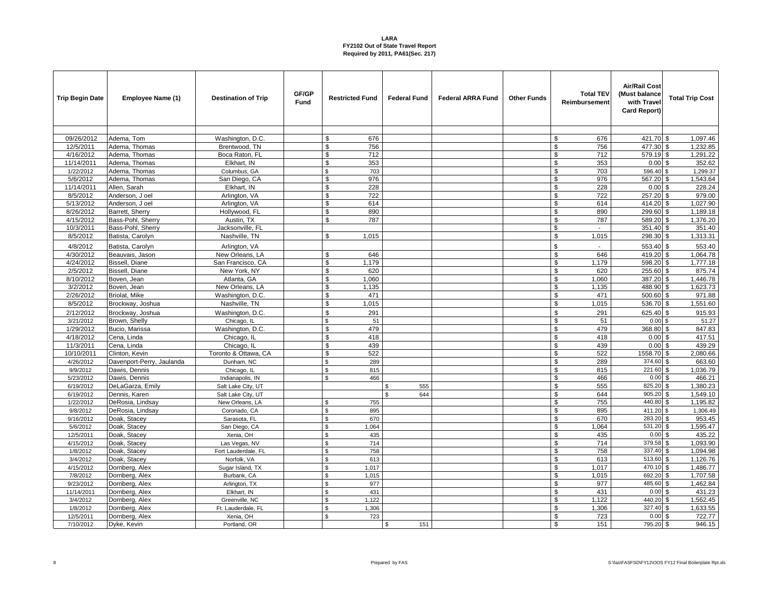| <b>Trip Begin Date</b> | Employee Name (1)         | <b>Destination of Trip</b> | GF/GP<br><b>Fund</b> | <b>Restricted Fund</b>      | <b>Federal Fund</b> | <b>Federal ARRA Fund</b> | <b>Other Funds</b> | <b>Total TEV</b><br>Reimbursement | <b>Air/Rail Cost</b><br>(Must balance<br>with Trave<br>Card Report) | <b>Total Trip Cost</b>   |
|------------------------|---------------------------|----------------------------|----------------------|-----------------------------|---------------------|--------------------------|--------------------|-----------------------------------|---------------------------------------------------------------------|--------------------------|
|                        |                           |                            |                      |                             |                     |                          |                    |                                   |                                                                     |                          |
| 09/26/2012             | Adema, Tom                | Washington, D.C.           |                      | \$<br>676                   |                     |                          |                    | \$<br>676                         | 421.70 \$                                                           | 1,097.46                 |
| 12/5/2011              | Adema, Thomas             | Brentwood, TN              |                      | \$<br>756                   |                     |                          |                    | \$<br>756                         | 477.30 \$                                                           | 1,232.85                 |
| 4/16/2012              | Adema, Thomas             | Boca Raton, FL             |                      | 712<br>\$                   |                     |                          |                    | \$<br>712                         | 579.19 \$                                                           | 1,291.22                 |
| 11/14/2011             | Adema, Thomas             | Elkhart, IN                |                      | \$<br>353                   |                     |                          |                    | \$<br>353                         | $0.00$ \$                                                           | 352.62                   |
| 1/22/2012              | Adema, Thomas             | Columbus, GA               |                      | $\mathbf{\hat{s}}$<br>703   |                     |                          |                    | \$<br>703                         | 596.40 \$                                                           | 1,299.37                 |
| 5/6/2012               | Adema, Thomas             | San Diego, CA              |                      | 976<br>\$                   |                     |                          |                    | 976<br>\$                         | 567.20 \$                                                           | 1,543.64                 |
| 11/14/2011             | Allen, Sarah              | Elkhart. IN                |                      | $\mathbf{\hat{s}}$<br>228   |                     |                          |                    | \$<br>228                         | 0.00S                                                               | 228.24                   |
| 8/5/2012               | Anderson, J oel           | Arlington, VA              |                      | $\mathbf{\hat{s}}$<br>722   |                     |                          |                    | $\overline{\mathbb{S}}$<br>722    | 257.20 \$                                                           | 979.00                   |
| 5/13/2012              | Anderson, J oel           | Arlington, VA              |                      | 614<br>\$                   |                     |                          |                    | \$<br>614                         | 414.20 \$                                                           | 1,027.90                 |
| 8/26/2012              | Barrett, Sherry           | Hollywood, FL              |                      | \$<br>890                   |                     |                          |                    | \$<br>890                         | 299.60 \$                                                           | 1,189.18                 |
| 4/15/2012              | Bass-Pohl, Sherry         | Austin, TX                 |                      | \$<br>787                   |                     |                          |                    | \$<br>787                         | 589.20 \$                                                           | 1,376.20                 |
| 10/3/2011              | Bass-Pohl, Sherry         | Jacksonville, FL           |                      |                             |                     |                          |                    | \$<br>$\sim$                      | 351.40 \$                                                           | 351.40                   |
| 8/5/2012               | Batista, Carolyn          | Nashville, TN              |                      | \$<br>1,015                 |                     |                          |                    | \$<br>1,015                       | 298.30 \$                                                           | 1,313.31                 |
| 4/8/2012               | Batista, Carolyn          | Arlington, VA              |                      |                             |                     |                          |                    | \$<br>$\mathcal{L}$               | 553.40 \$                                                           | 553.40                   |
| 4/30/2012              | Beauvais, Jason           | New Orleans, LA            |                      | \$<br>646                   |                     |                          |                    | \$<br>646                         | 419.20 \$                                                           | 1,064.78                 |
| 4/24/2012              | <b>Bissell</b> , Diane    | San Francisco, CA          |                      | \$<br>1.179                 |                     |                          |                    | \$<br>1,179                       | 598.20 \$                                                           | 1,777.18                 |
| 2/5/2012               | Bissell, Diane            | New York, NY               |                      | \$<br>620                   |                     |                          |                    | \$<br>620                         | 255.60 \$                                                           | 875.74                   |
| 8/10/2012              | Boven, Jean               | Atlanta, GA                |                      | \$<br>1,060                 |                     |                          |                    | \$<br>1,060                       | 387.20 \$                                                           | 1,446.78                 |
| 3/2/2012               | Boven, Jean               | New Orleans, LA            |                      | \$<br>1,135                 |                     |                          |                    | \$<br>1,135                       | 488.90 \$                                                           | 1,623.73                 |
| 2/26/2012              | Briolat, Mike             | Washington, D.C.           |                      | 471<br>\$                   |                     |                          |                    | \$<br>471                         | 500.60 \$                                                           | 971.88                   |
| 8/5/2012               | Brockway, Joshua          | Nashville, TN              |                      | \$<br>1,015                 |                     |                          |                    | \$<br>1,015                       | 536.70 \$                                                           | 1,551.60                 |
| 2/12/2012              | Brockway, Joshua          | Washington, D.C.           |                      | $\mathbf{\hat{s}}$<br>291   |                     |                          |                    | $\mathbb{S}$<br>291               | 625.40 \$                                                           | 915.93                   |
| 3/21/2012              | Brown, Shelly             | Chicago, IL                |                      | \$<br>51                    |                     |                          |                    | \$<br>51                          | 0.00S                                                               | 51.27                    |
| 1/29/2012              | Bucio, Marissa            | Washington, D.C.           |                      | \$<br>479                   |                     |                          |                    | 479<br>\$                         | 368.80 \$                                                           | 847.83                   |
| 4/18/2012              | Cena, Linda               | Chicago, IL                |                      | \$<br>418                   |                     |                          |                    | \$<br>418                         | $0.00$ \$                                                           | 417.51                   |
| 11/3/2011              | Cena, Linda               | Chicago, IL                |                      | \$<br>439                   |                     |                          |                    | \$<br>439                         | $0.00$ \$                                                           | 439.29                   |
| 10/10/2011             | Clinton, Kevin            | Toronto & Ottawa, CA       |                      | 522<br>\$                   |                     |                          |                    | 522<br>\$                         | 1558.70 \$                                                          | 2,080.66                 |
| 4/26/2012              | Davenport-Perry, Jaulanda | Dunham, NC                 |                      | $\mathbf{s}$<br>289         |                     |                          |                    | \$<br>289                         | 374.60 \$                                                           | 663.60                   |
| 9/9/2012               | Dawis, Dennis             | Chicago, IL                |                      | \$<br>815                   |                     |                          |                    | \$<br>815                         | 221.60 \$                                                           | 1,036.79                 |
| 5/23/2012              | Dawis, Dennis             | Indianapolis, IN           |                      | $\mathbf{\hat{S}}$<br>466   |                     |                          |                    | \$<br>466                         | $0.00$ \$                                                           | 466.21                   |
| 6/19/2012              | DeLaGarza, Emily          | Salt Lake City, UT         |                      |                             | 555<br>\$           |                          |                    | \$<br>555                         | 825.20                                                              | \$<br>1,380.23           |
| 6/19/2012              | Dennis, Karen             | Salt Lake City, UT         |                      |                             | 644                 |                          |                    | \$<br>644                         | $905.20$ \$                                                         | 1,549.10                 |
| 1/22/2012              | DeRosia, Lindsay          | New Orleans, LA            |                      | \$<br>755                   |                     |                          |                    | \$<br>755                         | 440.80                                                              | 1,195.82<br>\$           |
| 9/8/2012               | DeRosia, Lindsay          | Coronado, CA               |                      | \$<br>895                   |                     |                          |                    | \$<br>895                         | 411.20                                                              | 1,306.49<br>$\mathbf{s}$ |
| 9/16/2012              | Doak, Stacey              | Sarasota, FL               |                      | \$<br>670                   |                     |                          |                    | \$<br>670                         | 283.20 \$                                                           | 953.45                   |
| 5/6/2012               | Doak, Stacey              | San Diego, CA              |                      | \$<br>1,064                 |                     |                          |                    | \$<br>1,064                       | 531.20                                                              | 1,595.47<br>\$           |
| 12/5/2011              | Doak, Stacey              | Xenia, OH                  |                      | 435<br>\$                   |                     |                          |                    | \$<br>435                         | 0.00                                                                | 435.22<br>\$             |
| 4/15/2012              | Doak, Stacey              | Las Vegas, NV              |                      | \$<br>714                   |                     |                          |                    | \$<br>714                         | 379.58 \$                                                           | 1,093.90                 |
| 1/8/2012               | Doak, Stacey              | Fort Lauderdale, FL        |                      | 758<br>\$                   |                     |                          |                    | \$<br>758                         | 337.40 \$                                                           | 1,094.98                 |
| 3/4/2012               | Doak, Stacey              | Norfolk, VA                |                      | \$<br>613                   |                     |                          |                    | \$<br>613                         | $513.60$ \$                                                         | 1,126.76                 |
| 4/15/2012              | Dornberg, Alex            | Sugar Island, TX           |                      | \$<br>1,017                 |                     |                          |                    | \$<br>1,017                       | $470.10$ \$                                                         | 1,486.77                 |
| 7/8/2012               | Dornberg, Alex            | Burbank, CA                |                      | $\mathbf{\hat{s}}$<br>1,015 |                     |                          |                    | \$<br>1,015                       | 692.20                                                              | 1,707.58<br>\$           |
| 9/23/2012              | Dornberg, Alex            | Arlington, TX              |                      | $\mathbf{\hat{s}}$<br>977   |                     |                          |                    | \$<br>977                         | $485.60$ \$                                                         | 1.462.84                 |
| 11/14/2011             | Dornberg, Alex            | Elkhart. IN                |                      | \$<br>431                   |                     |                          |                    | \$<br>431                         | 0.00                                                                | \$<br>431.23             |
| 3/4/2012               | Dornberg, Alex            | Greenville, NC             |                      | $\mathbf{\hat{s}}$<br>1,122 |                     |                          |                    | \$<br>1,122                       | 440.20                                                              | 1,562.45<br>\$.          |
| 1/8/2012               | Dornberg, Alex            | Ft. Lauderdale, FL         |                      | 1,306<br>\$                 |                     |                          |                    | \$<br>1,306                       | 327.40                                                              | 1,633.55<br>\$           |
| 12/5/2011              | Dornberg, Alex            | Xenia, OH                  |                      | ፍ<br>723                    |                     |                          |                    | \$<br>723                         | 0.00                                                                | \$<br>722.77             |
| 7/10/2012              | Dyke, Kevin               | Portland, OR               |                      |                             | 151<br>\$           |                          |                    | \$<br>151                         | 795.20 \$                                                           | 946.15                   |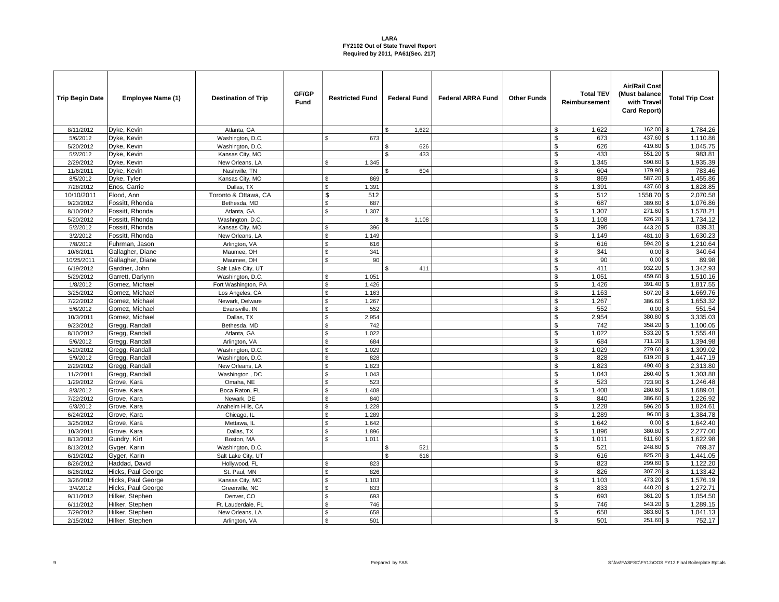| <b>Trip Begin Date</b> | Employee Name (1)                | <b>Destination of Trip</b>  | GF/GP<br><b>Fund</b> | <b>Restricted Fund</b>          | <b>Federal Fund</b> | <b>Federal ARRA Fund</b> | <b>Other Funds</b> | <b>Total TEV</b><br>Reimbursement | <b>Air/Rail Cost</b><br>(Must balance<br>with Travel<br>Card Report) | <b>Total Trip Cost</b>   |
|------------------------|----------------------------------|-----------------------------|----------------------|---------------------------------|---------------------|--------------------------|--------------------|-----------------------------------|----------------------------------------------------------------------|--------------------------|
| 8/11/2012              | Dyke, Kevin                      | Atlanta, GA                 |                      |                                 | 1,622<br>\$.        |                          |                    | \$<br>1,622                       | 162.00                                                               | $\sqrt{3}$<br>1,784.26   |
| 5/6/2012               | Dyke, Kevin                      | Washington, D.C.            |                      | \$<br>673                       |                     |                          |                    | \$<br>673                         | 437.60 \$                                                            | 1,110.86                 |
| 5/20/2012              | Dyke, Kevin                      | Washington, D.C.            |                      |                                 | \$<br>626           |                          |                    | \$<br>626                         | 419.60                                                               | 1,045.75<br>\$           |
| 5/2/2012               | Dyke, Kevin                      | Kansas City, MO             |                      |                                 | 433<br>ፍ            |                          |                    | \$<br>433                         | 551.20 \$                                                            | 983.81                   |
| 2/29/2012              | Dyke, Kevin                      | New Orleans, LA             |                      | \$<br>1,345                     |                     |                          |                    | \$<br>1,345                       | 590.60 \$                                                            | 1,935.39                 |
| 11/6/2011              | Dyke, Kevin                      | Nashville, TN               |                      |                                 | \$<br>604           |                          |                    | \$<br>604                         | 179.90                                                               | \$<br>783.46             |
| 8/5/2012               | Dyke, Tyler                      | Kansas City, MO             |                      | 869<br>\$                       |                     |                          |                    | \$<br>869                         | 587.20                                                               | 1,455.86<br>S.           |
| 7/28/2012              | Enos, Carrie                     | Dallas, TX                  |                      | \$<br>1,391                     |                     |                          |                    | \$<br>1,391                       | 437.60 \$                                                            | 1,828.85                 |
| 10/10/2011             | Flood, Ann                       | Toronto & Ottawa, CA        |                      | \$<br>512                       |                     |                          |                    | \$<br>512                         | 1558.70 \$                                                           | 2,070.58                 |
| 9/23/2012              | Fossitt, Rhonda                  | Bethesda, MD                |                      | 687<br>\$                       |                     |                          |                    | \$<br>687                         | 389.60                                                               | 1,076.86<br>$\sqrt{3}$   |
| 8/10/2012              | Fossitt, Rhonda                  | Atlanta, GA                 |                      | \$<br>1,307                     |                     |                          |                    | \$<br>1,307                       | 271.60 \$                                                            | 1,578.21                 |
| 5/20/2012              | Fossitt, Rhonda                  | Washngton, D.C.             |                      |                                 | 1,108<br>\$.        |                          |                    | \$<br>1,108                       | 626.20                                                               | \$<br>1,734.12           |
| 5/2/2012               | Fossitt, Rhonda                  | Kansas City, MO             |                      | $\mathbf{\hat{s}}$<br>396       |                     |                          |                    | \$<br>396                         | $443.20$ \$                                                          | 839.31                   |
| 3/2/2012               | Fossitt, Rhonda                  | New Orleans, LA             |                      | \$<br>1,149                     |                     |                          |                    | \$<br>1,149                       | 481.10 \$                                                            | 1,630.23                 |
| 7/8/2012               | Fuhrman, Jason                   | Arlington, VA               |                      | $\mathbf{\hat{S}}$<br>616       |                     |                          |                    | \$<br>616                         | 594.20                                                               | 1,210.64<br>\$.          |
| 10/6/2011              | Gallagher, Diane                 | Maumee, OH                  |                      | \$<br>341                       |                     |                          |                    | \$<br>341                         | 0.00                                                                 | 340.64<br>\$             |
| 10/25/2011             | Gallagher, Diane                 | Maumee, OH                  |                      | \$<br>90                        |                     |                          |                    | \$<br>90                          | 0.00                                                                 | 89.98<br>\$              |
| 6/19/2012              | Gardner, John                    | Salt Lake City, UT          |                      |                                 | 411<br>\$.          |                          |                    | \$<br>411                         | 932.20                                                               | 1.342.93<br>\$           |
| 5/29/2012              | Garrett, Darlynn                 | Washington, D.C.            |                      | $\mathbf{s}$<br>1,051           |                     |                          |                    | \$<br>1,051                       | 459.60                                                               | \$<br>1,510.16           |
| 1/8/2012               | Gomez, Michael                   | Fort Washington, PA         |                      | \$<br>1,426                     |                     |                          |                    | \$<br>1,426                       | 391.40 \$                                                            | 1,817.55                 |
| 3/25/2012              | Gomez, Michael                   | Los Angeles, CA             |                      | \$<br>1,163                     |                     |                          |                    | \$<br>1,163                       | 507.20 \$                                                            | 1,669.76                 |
| 7/22/2012              | Gomez, Michael                   | Newark, Delware             |                      | \$<br>1,267                     |                     |                          |                    | \$<br>1,267                       | 386.60 \$                                                            | 1,653.32                 |
| 5/6/2012               | Gomez, Michael                   | Evansville, IN              |                      | \$<br>552<br>$\mathbf{\hat{s}}$ |                     |                          |                    | \$<br>552                         | $0.00$ \$<br>380.80                                                  | 551.54<br>$\mathbf{s}$   |
| 10/3/2011              | Gomez, Michael                   | Dallas, TX                  |                      | 2,954                           |                     |                          |                    | \$<br>2,954                       | $358.20$ \$                                                          | 3,335.03                 |
| 9/23/2012              | Gregg, Randall<br>Gregg, Randall | Bethesda, MD<br>Atlanta, GA |                      | \$<br>742<br>\$<br>1,022        |                     |                          |                    | \$<br>742<br>\$<br>1,022          | 533.20 \$                                                            | 1,100.05<br>1,555.48     |
| 8/10/2012<br>5/6/2012  | Gregg, Randall                   | Arlington, VA               |                      | $\mathbf{\hat{s}}$<br>684       |                     |                          |                    | \$<br>684                         | 711.20 \$                                                            | 1,394.98                 |
| 5/20/2012              | Gregg, Randall                   | Washington, D.C.            |                      | 1,029<br>\$                     |                     |                          |                    | \$<br>1,029                       | 279.60 \$                                                            | 1,309.02                 |
| 5/9/2012               | Gregg, Randall                   | Washington, D.C.            |                      | $\mathbb{S}$<br>828             |                     |                          |                    | $\$$<br>828                       | 619.20 \$                                                            | 1,447.19                 |
| 2/29/2012              | Gregg, Randall                   | New Orleans, LA             |                      | \$<br>1,823                     |                     |                          |                    | \$<br>1,823                       | 490.40 \$                                                            | 2,313.80                 |
| 11/2/2011              | Gregg, Randall                   | Washington, DC              |                      | $\mathbf{\hat{s}}$<br>1.043     |                     |                          |                    | \$<br>1,043                       | 260.40 \$                                                            | 1,303.88                 |
| 1/29/2012              | Grove, Kara                      | Omaha, NE                   |                      | \$<br>523                       |                     |                          |                    | \$<br>523                         | 723.90                                                               | 1,246.48<br>\$           |
| 8/3/2012               | Grove, Kara                      | Boca Raton, FL              |                      | \$<br>1,408                     |                     |                          |                    | \$<br>1,408                       | 280.60                                                               | 1,689.01<br>$\mathbf{s}$ |
| 7/22/2012              | Grove, Kara                      | Newark, DE                  |                      | $\mathbf{\hat{s}}$<br>840       |                     |                          |                    | \$<br>840                         | 386.60 \$                                                            | 1,226.92                 |
| 6/3/2012               | Grove, Kara                      | Anaheim Hills, CA           |                      | \$<br>1,228                     |                     |                          |                    | $\sqrt{3}$<br>1,228               | 596.20 \$                                                            | 1,824.61                 |
| 6/24/2012              | Grove, Kara                      | Chicago, IL                 |                      | $\mathbf{\hat{s}}$<br>1,289     |                     |                          |                    | \$<br>1,289                       | 96.00                                                                | 1,384.78<br>\$           |
| 3/25/2012              | Grove, Kara                      | Mettawa, IL                 |                      | $\mathbf{\hat{s}}$<br>1,642     |                     |                          |                    | \$<br>1,642                       | 0.00                                                                 | \$<br>1,642.40           |
| 10/3/2011              | Grove, Kara                      | Dallas, TX                  |                      | \$<br>1,896                     |                     |                          |                    | \$<br>1,896                       | 380.80 \$                                                            | 2,277.00                 |
| 8/13/2012              | Gundry, Kirt                     | Boston, MA                  |                      | \$<br>1,011                     |                     |                          |                    | \$<br>1,011                       | 611.60 \$                                                            | 1,622.98                 |
| 8/13/2012              | Gyger, Karin                     | Washington, D.C.            |                      |                                 | 521<br>\$           |                          |                    | \$<br>521                         | 248.60 \$                                                            | 769.37                   |
| 6/19/2012              | Gyger, Karin                     | Salt Lake City, UT          |                      |                                 | $\mathbf{s}$<br>616 |                          |                    | \$<br>616                         | 825.20 \$                                                            | 1,441.05                 |
| 8/26/2012              | Haddad, David                    | Hollywood, FL               |                      | $\mathbf{\hat{s}}$<br>823       |                     |                          |                    | \$<br>823                         | 299.60 \$                                                            | 1,122.20                 |
| 8/26/2012              | Hicks, Paul George               | St. Paul, MN                |                      | \$<br>826                       |                     |                          |                    | \$<br>826                         | 307.20 \$                                                            | 1,133.42                 |
| 3/26/2012              | Hicks, Paul George               | Kansas City, MO             |                      | $\mathbf{\hat{s}}$<br>1,103     |                     |                          |                    | \$<br>1,103                       | 473.20                                                               | 1,576.19<br><b>\$</b>    |
| 3/4/2012               | Hicks, Paul George               | Greenville, NC              |                      | $\mathbf{\hat{s}}$<br>833       |                     |                          |                    | \$<br>833                         | 440.20 \$                                                            | 1,272.71                 |
| 9/11/2012              | Hilker, Stephen                  | Denver, CO                  |                      | \$<br>693                       |                     |                          |                    | \$<br>693                         | 361.20 \$                                                            | 1,054.50                 |
| 6/11/2012              | Hilker, Stephen                  | Ft. Lauderdale, FL          |                      | $\mathbf{\hat{s}}$<br>746       |                     |                          |                    | \$<br>746                         | 543.20 \$                                                            | 1,289.15                 |
| 7/29/2012              | Hilker, Stephen                  | New Orleans, LA             |                      | $\mathbf{\hat{s}}$<br>658       |                     |                          |                    | $\mathsf{\$}$<br>658              | 383.60                                                               | \$<br>1,041.13           |
| 2/15/2012              | Hilker, Stephen                  | Arlington, VA               |                      | $\mathbf{\hat{S}}$<br>501       |                     |                          |                    | \$<br>501                         | 251.60 \$                                                            | 752.17                   |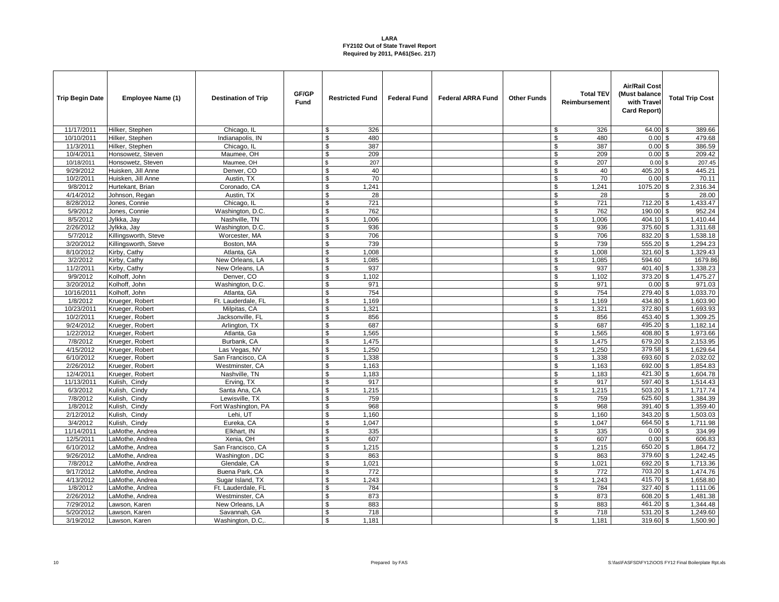| <b>Trip Begin Date</b> | Employee Name (1)    | <b>Destination of Trip</b> | GF/GP<br><b>Fund</b> | <b>Restricted Fund</b> | <b>Federal Fund</b> | <b>Federal ARRA Fund</b> | <b>Other Funds</b> | <b>Total TEV</b><br>Reimbursement | <b>Air/Rail Cost</b><br>(Must balance<br>with Trave<br>Card Report) | <b>Total Trip Cost</b> |
|------------------------|----------------------|----------------------------|----------------------|------------------------|---------------------|--------------------------|--------------------|-----------------------------------|---------------------------------------------------------------------|------------------------|
| 11/17/2011             | Hilker, Stephen      | Chicago, IL                |                      | 326<br>\$              |                     |                          |                    | 326<br>\$                         | 64.00                                                               | 389.66<br>\$           |
| 10/10/2011             | Hilker, Stephen      | Indianapolis, IN           |                      | 480<br>\$              |                     |                          |                    | \$<br>480                         | $0.00$ \$                                                           | 479.68                 |
| 11/3/2011              | Hilker, Stephen      | Chicago, IL                |                      | \$<br>387              |                     |                          |                    | \$<br>387                         | $0.00$ \$                                                           | 386.59                 |
| 10/4/2011              | Honsowetz, Steven    | Maumee, OH                 |                      | 209<br>\$              |                     |                          |                    | \$<br>209                         | 0.00                                                                | 209.42<br>\$           |
| 10/18/2011             | Honsowetz, Steven    | Maumee, OH                 |                      | \$<br>207              |                     |                          |                    | \$<br>207                         | 0.00S                                                               | 207.45                 |
| 9/29/2012              | Huisken, Jill Anne   | Denver, CO                 |                      | $\mathbf{\$}$<br>40    |                     |                          |                    | $\overline{\mathcal{S}}$<br>40    | 405.20 \$                                                           | 445.21                 |
| 10/2/2011              | Huisken, Jill Anne   | Austin, TX                 |                      | 70<br>\$               |                     |                          |                    | \$<br>70                          | $0.00$ \$                                                           | 70.11                  |
| 9/8/2012               | Hurtekant, Brian     | Coronado, CA               |                      | \$<br>1,241            |                     |                          |                    | \$<br>1,241                       | 1075.20 \$                                                          | 2,316.34               |
| 4/14/2012              | Johnson, Regan       | Austin, TX                 |                      | \$<br>28               |                     |                          |                    | \$<br>28                          |                                                                     | 28.00<br>\$            |
| 8/28/2012              | Jones, Connie        | Chicago, IL                |                      | 721<br>\$              |                     |                          |                    | 721<br>\$                         | 712.20 \$                                                           | 1,433.47               |
| 5/9/2012               | Jones, Connie        | Washington, D.C.           |                      | \$<br>762              |                     |                          |                    | \$<br>762                         | 190.00 \$                                                           | 952.24                 |
| 8/5/2012               | Jylkka, Jay          | Nashville, TN              |                      | 1.006<br>\$            |                     |                          |                    | \$<br>1,006                       | 404.10 \$                                                           | 1,410.44               |
| 2/26/2012              | Jylkka, Jay          | Washington, D.C.           |                      | \$<br>936              |                     |                          |                    | \$<br>936                         | 375.60 \$                                                           | 1,311.68               |
| 5/7/2012               | Killingsworth, Steve | Worcester, MA              |                      | \$<br>706              |                     |                          |                    | \$<br>706                         | 832.20 \$                                                           | 1,538.18               |
| 3/20/2012              | Killingsworth, Steve | Boston, MA                 |                      | 739<br>\$              |                     |                          |                    | \$<br>739                         | 555.20 \$                                                           | 1,294.23               |
| 8/10/2012              | Kirby, Cathy         | Atlanta, GA                |                      | \$<br>1.008            |                     |                          |                    | \$<br>1,008                       | 321.60 \$                                                           | 1,329.43               |
| 3/2/2012               | Kirby, Cathy         | New Orleans, LA            |                      | 1,085<br>\$            |                     |                          |                    | \$<br>1,085                       | 594.60                                                              | 1679.86                |
| 11/2/2011              | Kirby, Cathy         | New Orleans, LA            |                      | 937<br>\$              |                     |                          |                    | \$<br>937                         | 401.40 \$                                                           | 1,338.23               |
| 9/9/2012               | Kolhoff, John        | Denver, CO                 |                      | 1,102<br>\$            |                     |                          |                    | \$<br>1,102                       | 373.20 \$                                                           | 1,475.27               |
| 3/20/2012              | Kolhoff, John        | Washington, D.C.           |                      | \$<br>971              |                     |                          |                    | \$<br>971                         | $0.00$ \$                                                           | 971.03                 |
| 10/16/2011             | Kolhoff, John        | Atlanta, GA                |                      | \$<br>754              |                     |                          |                    | \$<br>754                         | 279.40 \$                                                           | 1,033.70               |
| 1/8/2012               | Krueger, Robert      | Ft. Lauderdale, FL         |                      | 1,169<br>\$            |                     |                          |                    | \$<br>1,169                       | 434.80 \$                                                           | 1,603.90               |
| 10/23/2011             | Krueger, Robert      | Milpitas, CA               |                      | 1,321<br>\$            |                     |                          |                    | \$<br>1,321                       | 372.80 \$                                                           | 1,693.93               |
| 10/2/2011              | Krueger, Robert      | Jacksonville, FL           |                      | \$<br>856              |                     |                          |                    | \$<br>856                         | 453.40 \$                                                           | 1,309.25               |
| 9/24/2012              | Krueger, Robert      | Arlington, TX              |                      | 687<br>\$              |                     |                          |                    | \$<br>687                         | 495.20 \$                                                           | 1,182.14               |
| 1/22/2012              | Krueger, Robert      | Atlanta, Ga                |                      | \$<br>1.565            |                     |                          |                    | $\mathfrak s$<br>1,565            | 408.80 \$                                                           | 1,973.66               |
| 7/8/2012               | Krueger, Robert      | Burbank, CA                |                      | $\mathbb{S}$<br>1,475  |                     |                          |                    | \$<br>1,475                       | 679.20 \$                                                           | 2,153.95               |
| 4/15/2012              | Krueger, Robert      | Las Vegas, NV              |                      | 1,250<br>\$            |                     |                          |                    | \$<br>1,250                       | 379.58 \$                                                           | 1,629.64               |
| 6/10/2012              | Krueger, Robert      | San Francisco, CA          |                      | \$<br>1,338            |                     |                          |                    | \$<br>1,338                       | 693.60 \$                                                           | 2,032.02               |
| 2/26/2012              | Krueger, Robert      | Westminster, CA            |                      | $\mathbf{s}$<br>1,163  |                     |                          |                    | $\mathfrak s$<br>1,163            | 692.00 \$                                                           | 1,854.83               |
| 12/4/2011              | Krueger, Robert      | Nashville, TN              |                      | \$<br>1,183            |                     |                          |                    | \$<br>1,183                       | 421.30 \$                                                           | 1,604.78               |
| 11/13/2011             | Kulish, Cindy        | Erving, TX                 |                      | \$<br>917              |                     |                          |                    | \$<br>917                         | 597.40 \$                                                           | 1,514.43               |
| 6/3/2012               | Kulish, Cindy        | Santa Ana, CA              |                      | 1,215<br>\$            |                     |                          |                    | \$<br>1,215                       | 503.20 \$                                                           | 1,717.74               |
| 7/8/2012               | Kulish, Cindy        | Lewisville, TX             |                      | \$<br>759              |                     |                          |                    | \$<br>759                         | 625.60 \$                                                           | 1,384.39               |
| 1/8/2012               | Kulish, Cindy        | Fort Washington, PA        |                      | \$<br>968              |                     |                          |                    | $\overline{\mathbf{s}}$<br>968    | $391.40$ \$                                                         | 1,359.40               |
| 2/12/2012              | Kulish, Cindy        | Lehi, UT                   |                      | 1.160<br>\$            |                     |                          |                    | \$<br>1,160                       | 343.20 \$                                                           | 1,503.03               |
| 3/4/2012               | Kulish, Cindy        | Eureka, CA                 |                      | 1,047<br>\$            |                     |                          |                    | \$<br>1,047                       | 664.50 \$                                                           | 1,711.98               |
| 11/14/2011             | LaMothe, Andrea      | Elkhart, IN                |                      | 335<br>\$              |                     |                          |                    | \$<br>335                         | $0.00$ \$                                                           | 334.99                 |
| 12/5/2011              | LaMothe, Andrea      | Xenia, OH                  |                      | \$<br>607              |                     |                          |                    | \$<br>607                         | $0.00$ \$                                                           | 606.83                 |
| 6/10/2012              | LaMothe, Andrea      | San Francisco, CA          |                      | \$<br>1,215            |                     |                          |                    | \$<br>1,215                       | 650.20 \$                                                           | 1,864.72               |
| 9/26/2012              | LaMothe, Andrea      | Washington, DC             |                      | \$<br>863              |                     |                          |                    | $\mathfrak s$<br>863              | 379.60 \$                                                           | 1,242.45               |
| 7/8/2012               | LaMothe, Andrea      | Glendale, CA               |                      | \$<br>1.021            |                     |                          |                    | \$<br>1,021                       | 692.20 \$                                                           | 1,713.36               |
| 9/17/2012              | LaMothe, Andrea      | Buena Park, CA             |                      | \$<br>772              |                     |                          |                    | \$<br>772                         | 703.20 \$                                                           | 1,474.76               |
| 4/13/2012              | LaMothe, Andrea      | Sugar Island, TX           |                      | \$<br>1,243            |                     |                          |                    | \$<br>1,243                       | 415.70 \$                                                           | 1,658.80               |
| 1/8/2012               | LaMothe, Andrea      | Ft. Lauderdale, FL         |                      | \$<br>784              |                     |                          |                    | \$<br>784                         | 327.40 \$                                                           | 1,111.06               |
| 2/26/2012              | LaMothe, Andrea      | Westminster, CA            |                      | 873<br>\$              |                     |                          |                    | \$<br>873                         | 608.20 \$                                                           | 1,481.38               |
| 7/29/2012              | Lawson, Karen        | New Orleans, LA            |                      | 883<br>\$<br>718<br>\$ |                     |                          |                    | \$<br>883                         | 461.20 \$<br>$531.20$ \$                                            | 1,344.48<br>1,249.60   |
| 5/20/2012              | Lawson, Karen        | Savannah, GA               |                      | $\mathfrak{L}$         |                     |                          |                    | $\sqrt{3}$<br>718                 |                                                                     |                        |
| 3/19/2012              | Lawson, Karen        | Washington, D.C.           |                      | 1.181                  |                     |                          |                    | \$<br>1.181                       | 319.60 \$                                                           | 1,500.90               |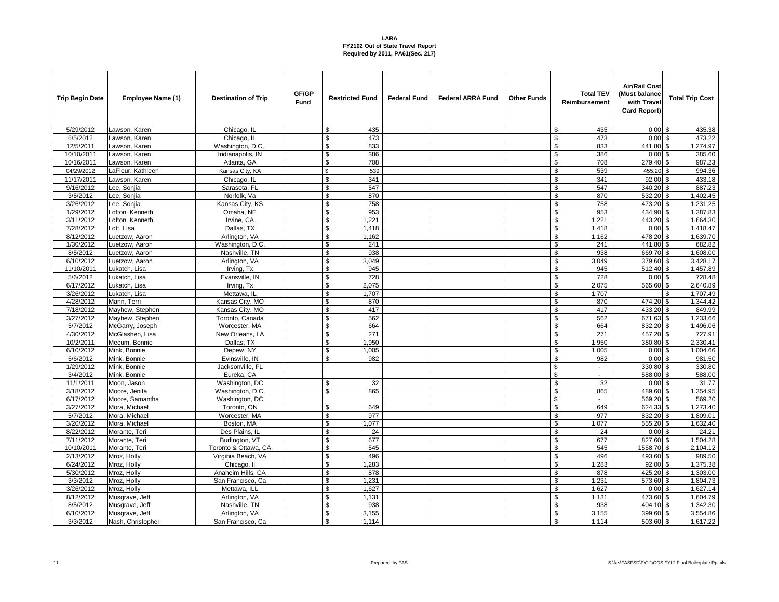| <b>Trip Begin Date</b> | Employee Name (1)              | <b>Destination of Trip</b>   | GF/GP<br><b>Fund</b> | <b>Restricted Fund</b>      | <b>Federal Fund</b> | <b>Federal ARRA Fund</b> | <b>Other Funds</b> | <b>Total TEV</b><br>Reimbursement | <b>Air/Rail Cost</b><br>(Must balance<br>with Travel<br>Card Report) | <b>Total Trip Cost</b> |
|------------------------|--------------------------------|------------------------------|----------------------|-----------------------------|---------------------|--------------------------|--------------------|-----------------------------------|----------------------------------------------------------------------|------------------------|
| 5/29/2012              | Lawson, Karen                  | Chicago, IL                  |                      | 435<br>\$                   |                     |                          |                    | \$<br>435                         | $0.00$ \$                                                            | 435.38                 |
| 6/5/2012               | Lawson, Karen                  | Chicago, IL                  |                      | \$<br>473                   |                     |                          |                    | \$<br>473                         | $0.00$ \$                                                            | 473.22                 |
| 12/5/2011              | Lawson, Karen                  | Washington, D.C.             |                      | \$<br>833                   |                     |                          |                    | \$<br>833                         | 441.80 \$                                                            | 1,274.97               |
| 10/10/2011             | Lawson, Karen                  | Indianapolis, IN             |                      | \$<br>386                   |                     |                          |                    | \$<br>386                         | 0.00                                                                 | 385.60<br>\$           |
| 10/16/2011             | Lawson, Karen                  | Atlanta, GA                  |                      | \$<br>708                   |                     |                          |                    | \$<br>708                         | 279.40 \$                                                            | 987.23                 |
| 04/29/2012             | LaFleur, Kathleen              | Kansas City, KA              |                      | \$<br>539                   |                     |                          |                    | \$<br>539                         | 455.20 \$                                                            | 994.36                 |
| 11/17/2011             | awson, Karen                   | Chicago, IL                  |                      | $\mathbf{\hat{s}}$<br>341   |                     |                          |                    | \$<br>341                         | $92.00$ \$                                                           | 433.18                 |
| 9/16/2012              | ee, Sonjia                     | Sarasota, FL                 |                      | \$<br>547                   |                     |                          |                    | \$<br>547                         | 340.20 \$                                                            | 887.23                 |
| 3/5/2012               | ee, Sonjia                     | Norfolk, Va                  |                      | 870<br>\$                   |                     |                          |                    | \$<br>870                         | 532.20 \$                                                            | 1,402.45               |
| 3/26/2012              | ee, Sonjia                     | Kansas City, KS              |                      | $\mathbf{\hat{s}}$<br>758   |                     |                          |                    | \$<br>758                         | 473.20 \$                                                            | 1,231.25               |
| 1/29/2012              | _ofton, Kenneth                | Omaha, NE                    |                      | \$<br>953                   |                     |                          |                    | \$<br>953                         | 434.90 \$                                                            | 1,387.83               |
| 3/11/2012              | ofton, Kenneth                 | Irvine, CA                   |                      | 1,221<br>\$                 |                     |                          |                    | \$<br>1,221                       | 443.20 \$                                                            | 1,664.30               |
| 7/28/2012              | ott, Lisa                      | Dallas, TX                   |                      | \$<br>1,418                 |                     |                          |                    | \$<br>1,418                       | $0.00$ \$                                                            | 1,418.47               |
| 8/12/2012              | Luetzow, Aaron                 | Arlington, VA                |                      | \$<br>1,162                 |                     |                          |                    | \$<br>1,162                       | 478.20 \$                                                            | 1,639.70               |
| 1/30/2012              | uetzow, Aaron                  | Washington, D.C.             |                      | \$<br>241                   |                     |                          |                    | \$<br>241                         | 441.80 \$                                                            | 682.82                 |
| 8/5/2012               | uetzow, Aaron                  | Nashville, TN                |                      | 938<br>\$                   |                     |                          |                    | \$<br>938                         | 669.70 \$                                                            | 1,608.00               |
| 6/10/2012              | _uetzow, Aaron                 | Arlington, VA                |                      | \$<br>3,049                 |                     |                          |                    | \$<br>3,049                       | 379.60 \$                                                            | 3,428.17               |
| 11/10/2011             | ukatch, Lisa                   | Irving, Tx                   |                      | \$<br>945                   |                     |                          |                    | \$<br>945                         | 512.40 \$                                                            | 1,457.89               |
| 5/6/2012               | Lukatch, Lisa                  | Evansville, IN               |                      | 728<br>\$                   |                     |                          |                    | \$<br>728                         | $0.00$ \$                                                            | 728.48                 |
| 6/17/2012              | Lukatch, Lisa                  | Irving, Tx                   |                      | \$<br>2,075                 |                     |                          |                    | $\sqrt{2}$<br>2,075               | 565.60 \$                                                            | 2,640.89               |
| 3/26/2012              | Lukatch, Lisa                  | Mettawa, IL                  |                      | \$<br>1.707                 |                     |                          |                    | \$<br>1,707                       |                                                                      | 1,707.49<br>\$.        |
| 4/28/2012              | Mann, Terri                    | Kansas City, MO              |                      | \$<br>870                   |                     |                          |                    | \$<br>870                         | 474.20 \$                                                            | 1,344.42               |
| 7/18/2012              | Mayhew, Stephen                | Kansas City, MO              |                      | \$<br>417                   |                     |                          |                    | \$<br>417                         | $433.20$ \$                                                          | 849.99                 |
| 3/27/2012              | Mayhew, Stephen                | Toronto, Canada              |                      | 562<br>\$                   |                     |                          |                    | \$<br>562                         | 671.63 \$                                                            | 1,233.66               |
| 5/7/2012               | McGarry, Joseph                | Worcester, MA                |                      | \$<br>664                   |                     |                          |                    | \$<br>664                         | 832.20 \$                                                            | 1,496.06               |
| 4/30/2012              | McGlashen. Lisa                | New Orleans, LA              |                      | \$<br>271                   |                     |                          |                    | \$<br>271                         | $457.20$ \$                                                          | 727.91                 |
| 10/2/2011              | Mecum, Bonnie                  | Dallas, TX                   |                      | 1,950<br>\$                 |                     |                          |                    | \$<br>1,950                       | 380.80 \$                                                            | 2,330.41               |
| 6/10/2012              | Mink, Bonnie                   | Depew, NY                    |                      | \$<br>1,005                 |                     |                          |                    | \$<br>1,005                       | $0.00$ \$                                                            | 1,004.66               |
| 5/6/2012               | Mink, Bonnie                   | Evinsville, IN               |                      | \$<br>982                   |                     |                          |                    | \$<br>982                         | $0.00$ \$                                                            | 981.50                 |
| 1/29/2012              | Mink, Bonnie                   | Jacksonville, FL             |                      |                             |                     |                          |                    | \$<br>$\mathbb{L}^2$              | 330.80 \$                                                            | 330.80                 |
| 3/4/2012               | Mink, Bonnie                   | Eureka, CA                   |                      |                             |                     |                          |                    | \$<br>$\overline{\phantom{a}}$    | 588.00 \$                                                            | 588.00                 |
| 11/1/2011              | Moon, Jason                    | Washington, DC               |                      | 32<br>\$                    |                     |                          |                    | $\mathsf{\$}$<br>32               | $0.00$ \$                                                            | 31.77                  |
| 3/18/2012              | Moore, Jenita                  | Washington, D.C.             |                      | 865<br>\$                   |                     |                          |                    | \$<br>865                         | 489.60 \$                                                            | 1,354.95               |
| 6/17/2012              | Moore, Samantha                | Washington, DC               |                      | \$                          |                     |                          |                    | \$<br>$\blacksquare$              | 569.20 \$                                                            | 569.20                 |
| 3/27/2012              | Mora, Michael                  | Toronto, ON                  |                      | 649<br>\$                   |                     |                          |                    | \$<br>649                         | 624.33 \$                                                            | 1,273.40               |
| 5/7/2012               | Mora, Michael                  | Worcester, MA                |                      | 977<br>\$                   |                     |                          |                    | \$<br>977                         | 832.20 \$                                                            | 1,809.01               |
| 3/20/2012<br>8/22/2012 | Mora, Michael<br>Morante, Teri | Boston, MA<br>Des Plains, IL |                      | 1,077<br>\$<br>24           |                     |                          |                    | \$<br>1,077<br>\$<br>24           | 555.20 \$<br>$0.00$ \$                                               | 1,632.40<br>24.21      |
| 7/11/2012              | Morante, Teri                  | Burlington, VT               |                      | \$<br>677                   |                     |                          |                    | \$<br>677                         | 827.60 \$                                                            | 1,504.28               |
| 10/10/2011             | Morante, Teri                  | Toronto & Ottawa, CA         |                      | $\mathbf{\hat{s}}$<br>545   |                     |                          |                    | \$<br>545                         | 1558.70 \$                                                           | 2,104.12               |
| 2/13/2012              | Mroz, Holly                    | Virginia Beach, VA           |                      | \$<br>496                   |                     |                          |                    | \$<br>496                         | 493.60 \$                                                            | 989.50                 |
| 6/24/2012              | Mroz, Holly                    | Chicago, II                  |                      | \$<br>1,283                 |                     |                          |                    | \$<br>1,283                       | $92.00$ \$                                                           | 1,375.38               |
| 5/30/2012              | Mroz, Holly                    | Anaheim Hills, CA            |                      | \$<br>878                   |                     |                          |                    | \$<br>878                         | 425.20 \$                                                            | 1,303.00               |
| 3/3/2012               | Mroz, Holly                    | San Francisco, Ca            |                      | \$<br>1,231                 |                     |                          |                    | \$<br>1,231                       | 573.60 \$                                                            | 1,804.73               |
| 3/26/2012              | Mroz, Holly                    | Mettawa, ILL                 |                      | 1,627<br>\$                 |                     |                          |                    | \$<br>1,627                       | $0.00$ \$                                                            | 1,627.14               |
| 8/12/2012              | Musgrave, Jeff                 | Arlington, VA                |                      | \$<br>1,131                 |                     |                          |                    | \$<br>1,131                       | 473.60 \$                                                            | 1,604.79               |
| 8/5/2012               | Musgrave, Jeff                 | Nashville, TN                |                      | 938<br>\$                   |                     |                          |                    | \$<br>938                         | 404.10 \$                                                            | 1,342.30               |
| 6/10/2012              | Musgrave, Jeff                 | Arlington, VA                |                      | $\mathbf{\hat{s}}$<br>3,155 |                     |                          |                    | \$<br>3,155                       | 399.60 \$                                                            | 3,554.86               |
| 3/3/2012               | Nash, Christopher              | San Francisco, Ca            |                      | $\mathfrak{L}$<br>1,114     |                     |                          |                    | \$<br>1.114                       | 503.60 \$                                                            | 1,617.22               |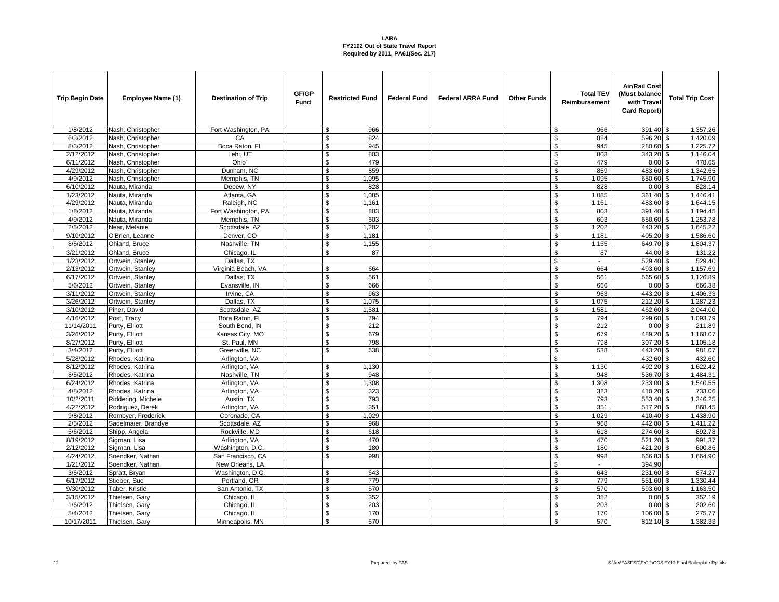| <b>Trip Begin Date</b> | Employee Name (1)   | <b>Destination of Trip</b> | GF/GP<br>Fund | <b>Restricted Fund</b>      | <b>Federal Fund</b> | <b>Federal ARRA Fund</b> | <b>Other Funds</b> | <b>Total TEV</b><br>Reimbursement | <b>Air/Rail Cost</b><br>(Must balance<br>with Trave<br>Card Report) | <b>Total Trip Cost</b> |
|------------------------|---------------------|----------------------------|---------------|-----------------------------|---------------------|--------------------------|--------------------|-----------------------------------|---------------------------------------------------------------------|------------------------|
| 1/8/2012               | Nash, Christopher   | Fort Washington, PA        |               | 966<br>\$                   |                     |                          |                    | 966<br>\$                         | 391.40 \$                                                           | 1,357.26               |
| 6/3/2012               | Nash, Christopher   | CA                         |               | \$<br>824                   |                     |                          |                    | \$<br>824                         | 596.20 \$                                                           | 1,420.09               |
| 8/3/2012               | Nash, Christopher   | Boca Raton, FL             |               | \$<br>945                   |                     |                          |                    | $\mathbb{S}$<br>945               | 280.60 \$                                                           | 1,225.72               |
| 2/12/2012              | Nash, Christopher   | Lehi, UT                   |               | 803<br>\$                   |                     |                          |                    | 803<br>\$                         | 343.20 \$                                                           | 1,146.04               |
| 6/11/2012              | Nash, Christopher   | Ohio'                      |               | \$<br>479                   |                     |                          |                    | \$<br>479                         | $0.00$ \$                                                           | 478.65                 |
| 4/29/2012              | Nash, Christopher   | Dunham, NC                 |               | \$<br>859                   |                     |                          |                    | $\mathbb{S}$<br>859               | $483.60$ \$                                                         | 1,342.65               |
| 4/9/2012               | Nash, Christopher   | Memphis, TN                |               | 1,095<br>\$                 |                     |                          |                    | \$<br>1,095                       | 650.60 \$                                                           | 1,745.90               |
| 6/10/2012              | Nauta, Miranda      | Depew, NY                  |               | \$<br>828                   |                     |                          |                    | \$<br>828                         | $0.00$ \$                                                           | 828.14                 |
| 1/23/2012              | Nauta, Miranda      | Atlanta, GA                |               | \$<br>1,085                 |                     |                          |                    | \$<br>1,085                       | 361.40 \$                                                           | 1,446.41               |
| 4/29/2012              | Nauta, Miranda      | Raleigh, NC                |               | \$<br>1,161                 |                     |                          |                    | \$<br>1,161                       | 483.60 \$                                                           | 1,644.15               |
| 1/8/2012               | Nauta, Miranda      | Fort Washington, PA        |               | \$<br>803                   |                     |                          |                    | \$<br>803                         | 391.40 \$                                                           | 1,194.45               |
| 4/9/2012               | Nauta, Miranda      | Memphis, TN                |               | 603<br>\$                   |                     |                          |                    | \$<br>603                         | 650.60 \$                                                           | 1,253.78               |
| 2/5/2012               | Near, Melanie       | Scottsdale, AZ             |               | \$<br>1,202                 |                     |                          |                    | \$<br>1,202                       | 443.20 \$                                                           | 1,645.22               |
| 9/10/2012              | O'Brien, Leanne     | Denver, CO                 |               | 1,181<br>\$                 |                     |                          |                    | \$<br>1,181                       | 405.20 \$                                                           | 1,586.60               |
| 8/5/2012               | Ohland, Bruce       | Nashville, TN              |               | \$<br>1,155                 |                     |                          |                    | \$<br>1,155                       | 649.70 \$                                                           | 1,804.37               |
| 3/21/2012              | Ohland, Bruce       | Chicago, IL                |               | 87<br>\$                    |                     |                          |                    | \$<br>87                          | 44.00 \$                                                            | 131.22                 |
| 1/23/2012              | Ortwein, Stanley    | Dallas, TX                 |               |                             |                     |                          |                    | \$                                | 529.40 \$                                                           | 529.40                 |
| 2/13/2012              | Ortwein, Stanley    | Virginia Beach, VA         |               | \$<br>664                   |                     |                          |                    | \$<br>664                         | 493.60 \$                                                           | 1,157.69               |
| 6/17/2012              | Ortwein, Stanley    | Dallas, TX                 |               | 561<br>\$                   |                     |                          |                    | \$<br>561                         | 565.60 \$                                                           | 1,126.89               |
| 5/6/2012               | Ortwein, Stanley    | Evansville, IN             |               | \$<br>666                   |                     |                          |                    | $\sqrt{3}$<br>666                 | 0.00S                                                               | 666.38                 |
| 3/11/2012              | Ortwein, Stanley    | Irvine, CA                 |               | 963<br>\$                   |                     |                          |                    | \$<br>963                         | 443.20 \$                                                           | 1,406.33               |
| 3/26/2012              | Ortwein, Stanley    | Dallas, TX                 |               | \$<br>1,075                 |                     |                          |                    | \$<br>1,075                       | $212.20$ \$                                                         | 1,287.23               |
| 3/10/2012              | Piner, David        | Scottsdale, AZ             |               | $\mathbf{\hat{s}}$<br>1,581 |                     |                          |                    | $\sqrt{3}$<br>1,581               | 462.60 \$                                                           | 2,044.00               |
| 4/16/2012              | Post, Tracy         | Bora Raton, FL             |               | \$<br>794                   |                     |                          |                    | \$<br>794                         | 299.60 \$                                                           | 1,093.79               |
| 11/14/2011             | Purty, Elliott      | South Bend, IN             |               | \$<br>212                   |                     |                          |                    | \$<br>212                         | $0.00$ \$                                                           | 211.89                 |
| 3/26/2012              | Purty, Elliott      | Kansas City, MO            |               | \$<br>679                   |                     |                          |                    | $\overline{\mathbb{S}}$<br>679    | 489.20 \$                                                           | 1,168.07               |
| 8/27/2012              | Purty, Elliott      | St. Paul, MN               |               | \$<br>798                   |                     |                          |                    | \$<br>798                         | 307.20 \$                                                           | 1,105.18               |
| 3/4/2012               | Purty, Elliott      | Greenville, NC             |               | \$<br>538                   |                     |                          |                    | \$<br>538                         | 443.20 \$                                                           | 981.07                 |
| 5/28/2012              | Rhodes, Katrina     | Arlington, VA              |               |                             |                     |                          |                    | \$<br>$\mathcal{L}_{\mathcal{A}}$ | $432.60$ \$                                                         | 432.60                 |
| 8/12/2012              | Rhodes, Katrina     | Arlington, VA              |               | 1,130<br>\$                 |                     |                          |                    | \$<br>1,130                       | 492.20 \$                                                           | 1,622.42               |
| 8/5/2012               | Rhodes, Katrina     | Nashville, TN              |               | \$<br>948                   |                     |                          |                    | \$<br>948                         | 536.70 \$                                                           | 1,484.31               |
| 6/24/2012              | Rhodes, Katrina     | Arlington, VA              |               | 1,308<br>\$                 |                     |                          |                    | \$<br>1,308                       | 233.00 \$                                                           | 1,540.55               |
| 4/8/2012               | Rhodes, Katrina     | Arlington, VA              |               | 323<br>\$                   |                     |                          |                    | \$<br>323                         | 410.20 \$                                                           | 733.06                 |
| 10/2/2011              | Riddering, Michele  | Austin, TX                 |               | $\mathbf{\hat{s}}$<br>793   |                     |                          |                    | \$<br>793                         | 553.40 \$                                                           | 1,346.25               |
| 4/22/2012              | Rodriguez, Derek    | Arlington, VA              |               | 351<br>\$                   |                     |                          |                    | \$<br>351                         | 517.20 \$                                                           | 868.45                 |
| 9/8/2012               | Rombyer, Frederick  | Coronado, CA               |               | \$<br>1,029                 |                     |                          |                    | \$<br>1,029                       | 410.40 \$                                                           | 1,438.90               |
| 2/5/2012               | Sadelmaier, Brandye | Scottsdale, AZ             |               | \$<br>968                   |                     |                          |                    | \$<br>968                         | 442.80 \$                                                           | 1,411.22               |
| 5/6/2012               | Shipp, Angela       | Rockville, MD              |               | \$<br>618                   |                     |                          |                    | \$<br>618                         | 274.60 \$                                                           | 892.78                 |
| 8/19/2012              | Sigman, Lisa        | Arlington, VA              |               | \$<br>470                   |                     |                          |                    | \$<br>470                         | 521.20 \$                                                           | 991.37                 |
| 2/12/2012              | Sigman, Lisa        | Washington, D.C.           |               | 180<br>\$                   |                     |                          |                    | \$<br>180                         | 421.20 \$                                                           | 600.86                 |
| 4/24/2012              | Soendker, Nathan    | San Francisco, CA          |               | 998<br>\$                   |                     |                          |                    | \$<br>998                         | 666.83 \$                                                           | 1,664.90               |
| 1/21/2012              | Soendker, Nathan    | New Orleans, LA            |               |                             |                     |                          |                    | \$                                | 394.90                                                              |                        |
| 3/5/2012               | Spratt, Bryan       | Washington, D.C.           |               | 643<br>\$                   |                     |                          |                    | \$<br>643                         | 231.60 \$                                                           | 874.27                 |
| 6/17/2012              | Stieber, Sue        | Portland, OR               |               | \$<br>779                   |                     |                          |                    | \$<br>779                         | 551.60 \$                                                           | 1,330.44               |
| 9/30/2012              | Taber, Kristie      | San Antonio, TX            |               | \$<br>570                   |                     |                          |                    | \$<br>570                         | 593.60 \$                                                           | 1,163.50               |
| 3/15/2012              | Thielsen, Gary      | Chicago, IL                |               | 352<br>\$                   |                     |                          |                    | $\$$<br>352                       | $0.00$ \$                                                           | 352.19                 |
| 1/6/2012               | Thielsen, Gary      | Chicago, IL                |               | \$<br>203<br>\$             |                     |                          |                    | \$<br>203                         | 0.00                                                                | 202.60<br>\$           |
| 5/4/2012<br>10/17/2011 | Thielsen, Gary      | Chicago, IL                |               | 170<br>\$<br>570            |                     |                          |                    | \$<br>170<br>\$<br>570            | 106.00 \$<br>812.10 \$                                              | 275.77<br>1,382.33     |
|                        | Thielsen, Gary      | Minneapolis, MN            |               |                             |                     |                          |                    |                                   |                                                                     |                        |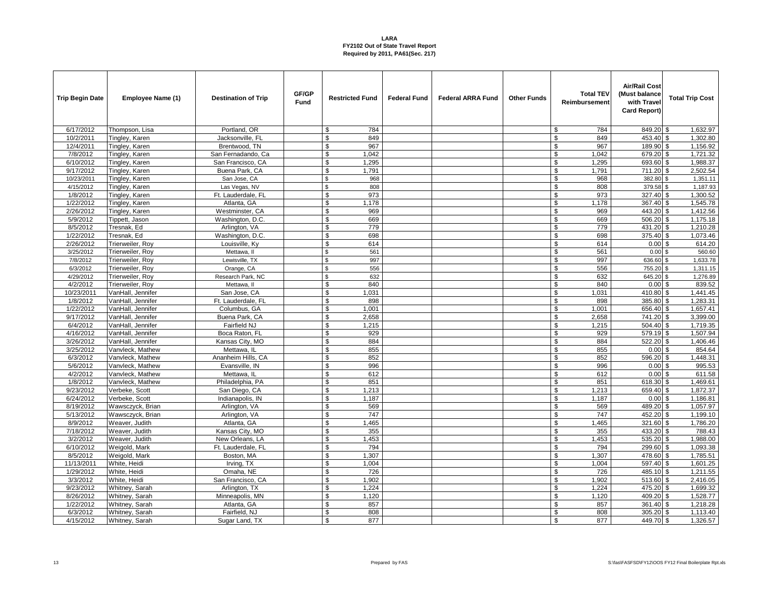| <b>Trip Begin Date</b> | Employee Name (1) | <b>Destination of Trip</b> | GF/GP<br>Fund | <b>Restricted Fund</b>    | <b>Federal Fund</b> | <b>Federal ARRA Fund</b> | <b>Other Funds</b> | <b>Total TEV</b><br>Reimbursement | <b>Air/Rail Cost</b><br>(Must balance<br>with Trave<br>Card Report) | <b>Total Trip Cost</b> |
|------------------------|-------------------|----------------------------|---------------|---------------------------|---------------------|--------------------------|--------------------|-----------------------------------|---------------------------------------------------------------------|------------------------|
| 6/17/2012              | Thompson, Lisa    | Portland, OR               |               | 784<br>\$                 |                     |                          |                    | \$<br>784                         | 849.20 \$                                                           | 1,632.97               |
| 10/2/2011              | Tingley, Karen    | Jacksonville, FL           |               | \$<br>849                 |                     |                          |                    | \$<br>849                         | 453.40 \$                                                           | 1,302.80               |
| 12/4/2011              | Tingley, Karen    | Brentwood, TN              |               | \$<br>967                 |                     |                          |                    | $\mathbb{S}$<br>967               | 189.90 \$                                                           | 1,156.92               |
| 7/8/2012               | Tingley, Karen    | San Fernadando, Ca         |               | \$<br>1,042               |                     |                          |                    | \$<br>1,042                       | 679.20 \$                                                           | 1,721.32               |
| 6/10/2012              | Tingley, Karen    | San Francisco, CA          |               | \$<br>1,295               |                     |                          |                    | \$<br>1,295                       | 693.60 \$                                                           | 1,988.37               |
| 9/17/2012              | Tingley, Karen    | Buena Park, CA             |               | \$<br>1,791               |                     |                          |                    | \$<br>1,791                       | 711.20 \$                                                           | 2,502.54               |
| 10/23/2011             | Tingley, Karen    | San Jose, CA               |               | $\mathbf{\hat{s}}$<br>968 |                     |                          |                    | \$<br>968                         | 382.80 \$                                                           | 1,351.11               |
| 4/15/2012              | Tingley, Karen    | Las Vegas, NV              |               | \$<br>808                 |                     |                          |                    | \$<br>808                         | 379.58 \$                                                           | 1,187.93               |
| 1/8/2012               | Tingley, Karen    | Ft. Lauderdale, FL         |               | \$<br>973                 |                     |                          |                    | \$<br>973                         | 327.40 \$                                                           | 1,300.52               |
| 1/22/2012              | Tingley, Karen    | Atlanta, GA                |               | 1,178<br>\$               |                     |                          |                    | \$<br>1,178                       | 367.40 \$                                                           | 1,545.78               |
| 2/26/2012              | Tingley, Karen    | Westminster, CA            |               | \$<br>969                 |                     |                          |                    | \$<br>969                         | 443.20 \$                                                           | 1,412.56               |
| 5/9/2012               | Tippett, Jason    | Washington, D.C.           |               | \$<br>669                 |                     |                          |                    | \$<br>669                         | $506.20$ \$                                                         | 1,175.18               |
| 8/5/2012               | Tresnak, Ed       | Arlington, VA              |               | \$<br>779                 |                     |                          |                    | \$<br>779                         | 431.20 \$                                                           | 1,210.28               |
| 1/22/2012              | Tresnak, Ed       | Washington, D.C.           |               | \$<br>698                 |                     |                          |                    | \$<br>698                         | 375.40 \$                                                           | 1,073.46               |
| 2/26/2012              | Trierweiler, Roy  | Louisville, Ky             |               | \$<br>614                 |                     |                          |                    | \$<br>614                         | $0.00$ \$                                                           | 614.20                 |
| 3/25/2012              | Trierweiler, Roy  | Mettawa, II                |               | \$<br>561                 |                     |                          |                    | \$<br>561                         | $0.00$ \$                                                           | 560.60                 |
| 7/8/2012               | Trierweiler, Roy  | Lewisville, TX             |               | $\mathbf{\hat{s}}$<br>997 |                     |                          |                    | \$<br>997                         | 636.60 \$                                                           | 1,633.78               |
| 6/3/2012               | Trierweiler, Roy  | Orange, CA                 |               | \$<br>556                 |                     |                          |                    | \$<br>556                         | 755.20                                                              | 1,311.15<br>$\sqrt{3}$ |
| 4/29/2012              | Trierweiler, Roy  | Research Park, NC          |               | \$<br>632                 |                     |                          |                    | \$<br>632                         | 645.20 \$                                                           | 1,276.89               |
| 4/2/2012               | Trierweiler, Roy  | Mettawa, II                |               | \$<br>840                 |                     |                          |                    | $\$$<br>840                       | $0.00$ \$                                                           | 839.52                 |
| 10/23/2011             | VanHall, Jennifer | San Jose, CA               |               | \$<br>1,031               |                     |                          |                    | \$<br>1,031                       | 410.80 \$                                                           | 1,441.45               |
| 1/8/2012               | VanHall, Jennifer | Ft. Lauderdale, FL         |               | \$<br>898                 |                     |                          |                    | \$<br>898                         | 385.80 \$                                                           | 1,283.31               |
| 1/22/2012              | VanHall, Jennifer | Columbus, GA               |               | \$<br>1,001               |                     |                          |                    | \$<br>1,001                       | 656.40 \$                                                           | 1,657.41               |
| 9/17/2012              | VanHall, Jennifer | Buena Park, CA             |               | \$<br>2,658               |                     |                          |                    | \$<br>2,658                       | 741.20 \$                                                           | 3,399.00               |
| 6/4/2012               | VanHall, Jennifer | Fairfield NJ               |               | \$<br>1,215               |                     |                          |                    | \$<br>1,215                       | 504.40 \$                                                           | 1,719.35               |
| 4/16/2012              | VanHall, Jennifer | Boca Raton, FL             |               | \$<br>929                 |                     |                          |                    | \$<br>929                         | $579.19$ \$                                                         | 1,507.94               |
| 3/26/2012              | VanHall, Jennifer | Kansas City, MO            |               | \$<br>884                 |                     |                          |                    | \$<br>884                         | 522.20 \$                                                           | 1,406.46               |
| 3/25/2012              | Vanvleck, Mathew  | Mettawa. IL                |               | \$<br>855                 |                     |                          |                    | \$<br>855                         | $0.00$ \$                                                           | 854.64                 |
| 6/3/2012               | Vanvleck, Mathew  | Ananheim Hills, CA         |               | \$<br>852                 |                     |                          |                    | \$<br>852                         | $596.20$ \$                                                         | 1,448.31               |
| 5/6/2012               | Vanvleck, Mathew  | Evansville, IN             |               | 996<br>\$                 |                     |                          |                    | \$<br>996                         | $0.00$ \$                                                           | 995.53                 |
| 4/2/2012               | Vanvleck, Mathew  | Mettawa. IL                |               | \$<br>612                 |                     |                          |                    | \$<br>612                         | $0.00$ \$                                                           | 611.58                 |
| 1/8/2012               | Vanvleck, Mathew  | Philadelphia, PA           |               | $\mathbf{\hat{s}}$<br>851 |                     |                          |                    | $\sqrt{3}$<br>851                 | 618.30 \$                                                           | 1,469.61               |
| 9/23/2012              | Verbeke, Scott    | San Diego, CA              |               | \$<br>1,213               |                     |                          |                    | \$<br>1,213                       | 659.40 \$                                                           | 1,872.37               |
| 6/24/2012              | Verbeke, Scott    | Indianapolis, IN           |               | \$<br>1,187               |                     |                          |                    | \$<br>1,187                       | $0.00$ \$                                                           | 1,186.81               |
| 8/19/2012              | Wawsczyck, Brian  | Arlington, VA              |               | 569<br>\$                 |                     |                          |                    | \$<br>569                         | 489.20 \$                                                           | 1,057.97               |
| 5/13/2012              | Wawsczyck, Brian  | Arlington, VA              |               | \$<br>747                 |                     |                          |                    | \$<br>747                         | 452.20 \$                                                           | 1,199.10               |
| 8/9/2012               | Weaver, Judith    | Atlanta, GA                |               | \$<br>1,465               |                     |                          |                    | \$<br>1,465                       | 321.60 \$                                                           | 1,786.20               |
| 7/18/2012              | Weaver, Judith    | Kansas City, MO            |               | \$<br>355                 |                     |                          |                    | \$<br>355                         | 433.20 \$                                                           | 788.43                 |
| 3/2/2012               | Weaver, Judith    | New Orleans, LA            |               | \$<br>1,453               |                     |                          |                    | \$<br>1,453                       | 535.20 \$                                                           | 1,988.00               |
| 6/10/2012              | Weigold, Mark     | Ft. Lauderdale, FL         |               | \$<br>794                 |                     |                          |                    | \$<br>794                         | 299.60 \$                                                           | 1,093.38               |
| 8/5/2012               | Weigold, Mark     | Boston, MA                 |               | 1,307<br>\$               |                     |                          |                    | \$<br>1,307                       | 478.60 \$                                                           | 1,785.51               |
| 11/13/2011             | White, Heidi      | Irving, TX                 |               | \$<br>1,004               |                     |                          |                    | \$<br>1,004                       | 597.40 \$                                                           | 1,601.25               |
| 1/29/2012              | White, Heidi      | Omaha, NE                  |               | \$<br>726                 |                     |                          |                    | \$<br>726                         | 485.10 \$                                                           | 1,211.55               |
| 3/3/2012               | White, Heidi      | San Francisco, CA          |               | \$<br>1,902               |                     |                          |                    | \$<br>1,902                       | 513.60 \$                                                           | 2,416.05               |
| 9/23/2012              | Whitney, Sarah    | Arlington, TX              |               | \$<br>1,224               |                     |                          |                    | \$<br>1,224                       | 475.20 \$                                                           | 1,699.32               |
| 8/26/2012              | Whitney, Sarah    | Minneapolis, MN            |               | \$<br>1,120               |                     |                          |                    | \$<br>1,120                       | 409.20 \$                                                           | 1,528.77               |
| 1/22/2012              | Whitney, Sarah    | Atlanta, GA                |               | \$<br>857                 |                     |                          |                    | \$<br>857                         | 361.40 \$                                                           | 1,218.28               |
| 6/3/2012               | Whitney, Sarah    | Fairfield, NJ              |               | \$<br>808                 |                     |                          |                    | $\mathsf{\$}$<br>808              | $305.20$ \$                                                         | 1,113.40               |
| 4/15/2012              | Whitney, Sarah    | Sugar Land, TX             |               | \$<br>877                 |                     |                          |                    | \$<br>877                         | 449.70 \$                                                           | 1,326.57               |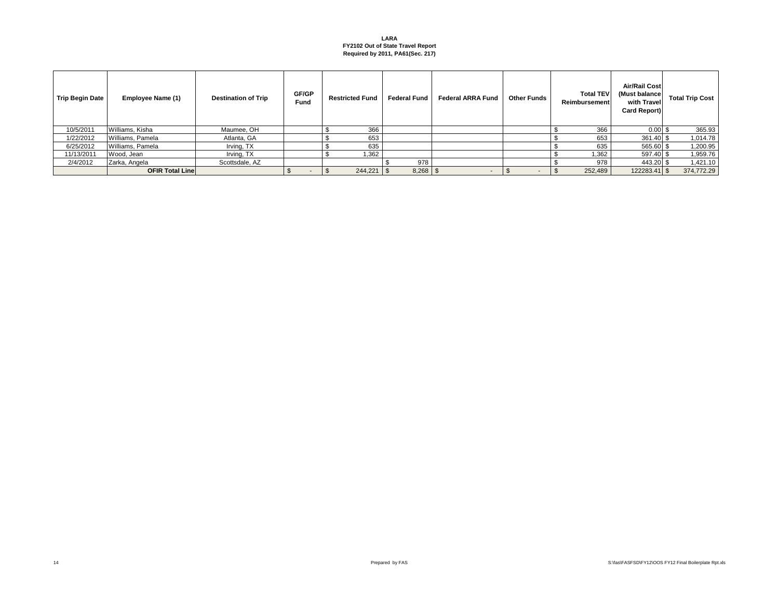| <b>Trip Begin Date</b> | Employee Name (1)       | <b>Destination of Trip</b> | GF/GP<br>Fund | <b>Restricted Fund</b> | <b>Federal Fund</b> | <b>Federal ARRA Fund</b> | <b>Other Funds</b> | <b>Total TEV</b><br>Reimbursement | Air/Rail Cost<br>(Must balance)<br>with Travel<br>Card Report) | <b>Total Trip Cost</b> |
|------------------------|-------------------------|----------------------------|---------------|------------------------|---------------------|--------------------------|--------------------|-----------------------------------|----------------------------------------------------------------|------------------------|
| 10/5/2011              | Williams, Kisha         | Maumee, OH                 |               | 366                    |                     |                          |                    | 366                               | $0.00$ \$                                                      | 365.93                 |
| 1/22/2012              | Williams, Pamela        | Atlanta, GA                |               | 653                    |                     |                          |                    | 653                               | 361.40 \$                                                      | 1,014.78               |
| 6/25/2012              | Williams, Pamela        | Irving, TX                 |               | 635                    |                     |                          |                    | 635                               | 565.60 \$                                                      | 1,200.95               |
| 11/13/2011             | Wood, Jean              | Irving, TX                 |               | 1,362                  |                     |                          |                    | 1,362                             | 597.40 \$                                                      | 1,959.76               |
| 2/4/2012               | Zarka, Angela           | Scottsdale, AZ             |               |                        | 978                 |                          |                    | 978                               | 443.20 \$                                                      | 1,421.10               |
|                        | <b>OFIR Total Linel</b> |                            | $\sim$        | 244,221                |                     |                          |                    | 252,489                           | 122283.41 \$                                                   | 374,772.29             |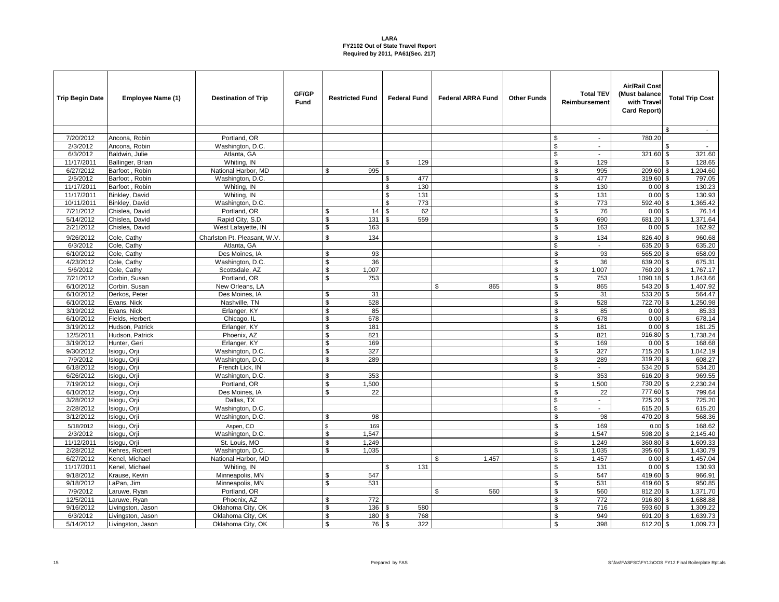| <b>Trip Begin Date</b> | Employee Name (1)                      | <b>Destination of Trip</b>             | GF/GP<br>Fund | <b>Restricted Fund</b> | <b>Federal Fund</b>   | <b>Federal ARRA Fund</b> | <b>Other Funds</b> | <b>Total TEV</b><br>Reimbursement       | <b>Air/Rail Cost</b><br>(Must balance<br>with Trave<br>Card Report) | <b>Total Trip Cost</b> |
|------------------------|----------------------------------------|----------------------------------------|---------------|------------------------|-----------------------|--------------------------|--------------------|-----------------------------------------|---------------------------------------------------------------------|------------------------|
|                        |                                        |                                        |               |                        |                       |                          |                    |                                         |                                                                     | \$<br>$\sim$           |
| 7/20/2012              | Ancona, Robin                          | Portland, OR                           |               |                        |                       |                          |                    | \$<br>$\sim$                            | 780.20                                                              |                        |
| 2/3/2012               | Ancona, Robin                          | Washington, D.C.                       |               |                        |                       |                          |                    | \$<br>$\blacksquare$                    |                                                                     |                        |
| 6/3/2012               | Baldwin, Julie                         | Atlanta, GA                            |               |                        |                       |                          |                    | $\$$<br>$\sim$                          | 321.60 \$                                                           | 321.60                 |
| 11/17/2011             | Ballinger, Brian                       | Whiting, IN                            |               |                        | 129<br>\$             |                          |                    | \$<br>129                               |                                                                     | 128.65<br>\$           |
| 6/27/2012              | Barfoot, Robin                         | National Harbor, MD                    |               | \$<br>995              |                       |                          |                    | $\mathfrak s$<br>995                    | 209.60 \$                                                           | 1,204.60               |
| 2/5/2012               | Barfoot, Robin                         | Washington, D.C.                       |               |                        | 477<br>\$             |                          |                    | \$<br>477                               | 319.60 \$                                                           | 797.05                 |
| 11/17/2011             | Barfoot, Robin                         | Whiting, IN                            |               |                        | 130<br>\$             |                          |                    | \$<br>130                               | $0.00$ \$                                                           | 130.23                 |
| 11/17/2011             | Binkley, David                         | Whiting, IN                            |               |                        | \$<br>131             |                          |                    | $\boldsymbol{\mathsf{S}}$<br>131        | $0.00$ \$                                                           | 130.93                 |
| 10/11/2011             | Binkley, David                         | Washington, D.C.                       |               |                        | \$<br>773             |                          |                    | $\overline{\boldsymbol{\theta}}$<br>773 | 592.40 \$                                                           | 1,365.42               |
| 7/21/2012              | Chislea, David                         | Portland, OR                           |               | \$<br>14               | \$<br>62              |                          |                    | \$<br>76                                | $0.00$ \$                                                           | 76.14                  |
| 5/14/2012              | Chislea, David                         | Rapid City, S.D.                       |               | \$<br>131              | 559                   |                          |                    | \$<br>690                               | 681.20 \$                                                           | 1,371.64               |
| 2/21/2012              | Chislea, David                         | West Lafayette, IN                     |               | \$<br>163              |                       |                          |                    | \$<br>163                               | $0.00$ \$                                                           | 162.92                 |
| 9/26/2012              | Cole, Cathy                            | Charlston Pt. Pleasant, W.V.           |               | $\mathbf{\$}$<br>134   |                       |                          |                    | \$<br>134                               | 826.40 \$                                                           | 960.68                 |
| 6/3/2012               | Cole, Cathy                            | Atlanta, GA                            |               |                        |                       |                          |                    | \$<br>$\blacksquare$                    | 635.20 \$                                                           | 635.20                 |
| 6/10/2012              | Cole, Cathy                            | Des Moines, IA                         |               | 93<br>\$               |                       |                          |                    | \$<br>93                                | 565.20 \$                                                           | 658.09                 |
| 4/23/2012              | Cole, Cathy                            | Washington, D.C.                       |               | \$<br>36               |                       |                          |                    | \$<br>36                                | 639.20 \$                                                           | 675.31                 |
| 5/6/2012               | Cole, Cathy                            | Scottsdale, AZ                         |               | 1,007<br>\$            |                       |                          |                    | \$<br>1,007                             | 760.20 \$                                                           | 1,767.17               |
| 7/21/2012              | Corbin, Susan                          | Portland, OR                           |               | 753<br>\$              |                       |                          |                    | \$<br>753                               | 1090.18 \$                                                          | 1,843.66               |
| 6/10/2012              | Corbin, Susan                          | New Orleans, LA                        |               |                        |                       | 865<br>£.                |                    | \$<br>865                               | 543.20 \$                                                           | 1,407.92               |
| 6/10/2012              | Derkos, Peter                          | Des Moines, IA                         |               | 31<br>\$               |                       |                          |                    | \$<br>31                                | 533.20 \$                                                           | 564.47                 |
| 6/10/2012              | Evans, Nick                            | Nashville, TN                          |               | 528<br>\$              |                       |                          |                    | $\frac{1}{2}$<br>528                    | 722.70 \$                                                           | 1,250.98               |
| 3/19/2012              | Evans, Nick                            | Erlanger, KY                           |               | \$<br>85               |                       |                          |                    | \$<br>85                                | $0.00$ \$                                                           | 85.33                  |
| 6/10/2012              | Fields, Herbert                        | Chicago, IL                            |               | \$<br>678              |                       |                          |                    | \$<br>678                               | $0.00$ \$                                                           | 678.14                 |
| 3/19/2012              | Hudson, Patrick                        | Erlanger, KY                           |               | \$<br>181              |                       |                          |                    | \$<br>181                               | $0.00$ \$                                                           | 181.25                 |
| 12/5/2011              | Hudson, Patrick                        | Phoenix, AZ                            |               | \$<br>821              |                       |                          |                    | \$<br>821                               | 916.80 \$                                                           | 1,738.24               |
| 3/19/2012              | Hunter, Geri                           | Erlanger, KY                           |               | 169<br>\$              |                       |                          |                    | \$<br>169                               | $0.00$ \$                                                           | 168.68                 |
| 9/30/2012              | Isiogu, Orji                           | Washington, D.C.                       |               | 327<br>\$              |                       |                          |                    | \$<br>327                               | $715.20$ \$                                                         | 1,042.19               |
| 7/9/2012               | Isiogu, Orji                           | Washington, D.C.                       |               | \$<br>289              |                       |                          |                    | \$<br>289                               | 319.20 \$                                                           | 608.27                 |
| 6/18/2012              | Isiogu, Orji                           | French Lick, IN                        |               |                        |                       |                          |                    | \$<br>$\blacksquare$                    | 534.20 \$                                                           | 534.20                 |
| 6/26/2012              | siogu, Orji                            | Washington, D.C.                       |               | \$<br>353              |                       |                          |                    | \$<br>353                               | 616.20 \$                                                           | 969.55                 |
| 7/19/2012              | Isioqu, Orji                           | Portland, OR                           |               | \$<br>1,500            |                       |                          |                    | \$<br>1,500                             | 730.20 \$                                                           | 2,230.24               |
| 6/10/2012              | Isiogu, Orji                           | Des Moines, IA                         |               | \$<br>22               |                       |                          |                    | \$<br>22                                | 777.60 \$                                                           | 799.64                 |
| 3/28/2012              | siogu, Orji                            | Dallas, TX                             |               |                        |                       |                          |                    | \$<br>$\blacksquare$                    | 725.20 \$                                                           | 725.20                 |
| 2/28/2012              | Isiogu, Orji                           | Washington, D.C.                       |               |                        |                       |                          |                    | \$<br>÷.                                | 615.20 \$                                                           | 615.20                 |
| 3/12/2012              | Isiogu, Orji                           | Washington, D.C.                       |               | 98<br>\$               |                       |                          |                    | \$<br>98                                | 470.20 \$                                                           | 568.36                 |
| 5/18/2012              | siogu, Orji                            | Aspen, CO                              |               | 169<br>\$              |                       |                          |                    | \$<br>169                               | $0.00$ \$                                                           | 168.62                 |
| 2/3/2012               | Isiogu, Orji                           | Washington, D.C.                       |               | 1,547<br>\$            |                       |                          |                    | $\overline{\mathcal{S}}$<br>1,547       | 598.20 \$                                                           | 2,145.40               |
| 11/12/2011             | Isiogu, Orji                           | St. Louis, MO                          |               | \$<br>1,249            |                       |                          |                    | \$<br>1,249                             | 360.80 \$                                                           | 1,609.33               |
| 2/28/2012              | Kehres, Robert                         | Washington, D.C.                       |               | \$<br>1.035            |                       |                          |                    | \$<br>1,035                             | 395.60 \$                                                           | 1,430.79               |
| 6/27/2012              | Kenel, Michael                         | National Harbor, MD                    |               |                        |                       | 1,457<br>\$              |                    | $\mathfrak s$<br>1,457                  | 0.00S                                                               | 1,457.04               |
| 11/17/2011             | Kenel, Michael                         | Whiting, IN                            |               |                        | $\mathfrak{R}$<br>131 |                          |                    | $\mathfrak s$<br>131                    | $0.00$ \$                                                           | 130.93                 |
| 9/18/2012              | Krause, Kevin                          | Minneapolis, MN                        |               | \$<br>547              |                       |                          |                    | \$<br>547                               | 419.60 \$                                                           | 966.91                 |
| 9/18/2012              | LaPan, Jim                             | Minneapolis, MN                        |               | 531<br>\$              |                       | \$                       |                    | \$<br>531                               | 419.60 \$                                                           | 950.85                 |
| 7/9/2012               | aruwe, Ryan                            | Portland, OR                           |               | 772                    |                       | 560                      |                    | \$<br>560                               | 812.20 \$                                                           | 1,371.70               |
| 12/5/2011              | Laruwe, Ryan                           | Phoenix, AZ                            |               | \$<br>\$               |                       |                          |                    | \$<br>772                               | 916.80 \$                                                           | 1,688.88               |
| 9/16/2012<br>6/3/2012  | Livingston, Jason                      | Oklahoma City, OK                      |               | 136<br>\$<br>180       | 580<br>768            |                          |                    | \$<br>716<br>\$<br>949                  | 593.60 \$<br>691.20 \$                                              | 1,309.22<br>1,639.73   |
| 5/14/2012              | Livingston, Jason<br>Livingston, Jason | Oklahoma City, OK<br>Oklahoma City, OK |               | $\mathbf{s}$<br>76 \$  | 322                   |                          |                    | \$<br>398                               | 612.20 \$                                                           | 1,009.73               |
|                        |                                        |                                        |               |                        |                       |                          |                    |                                         |                                                                     |                        |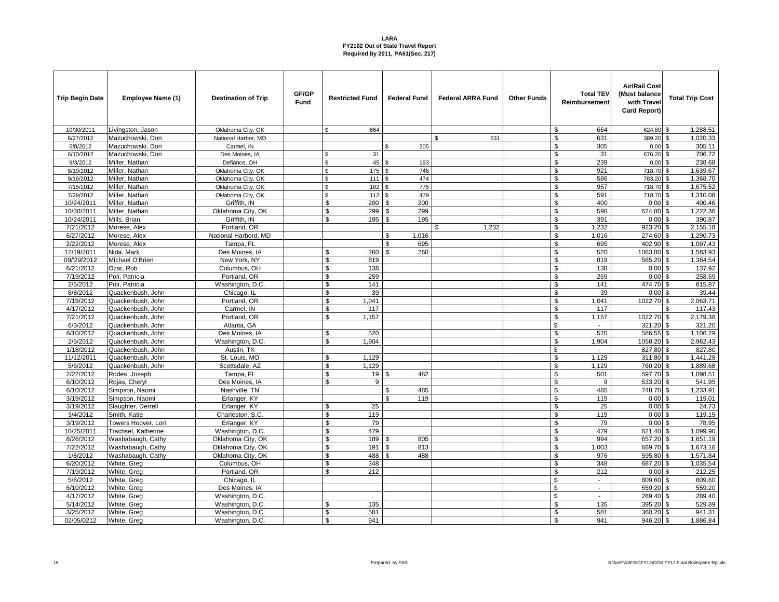| <b>Trip Begin Date</b> | Employee Name (1)         | <b>Destination of Trip</b> | GF/GP<br><b>Fund</b> | <b>Restricted Fund</b>      | <b>Federal Fund</b>   | <b>Federal ARRA Fund</b> | <b>Other Funds</b> | <b>Total TEV</b><br>Reimbursement    | <b>Air/Rail Cost</b><br>(Must balance<br>with Travel<br><b>Card Report)</b> | <b>Total Trip Cost</b>      |
|------------------------|---------------------------|----------------------------|----------------------|-----------------------------|-----------------------|--------------------------|--------------------|--------------------------------------|-----------------------------------------------------------------------------|-----------------------------|
| 10/30/2011             | Livingston, Jason         | Oklahoma City, OK          |                      | \$<br>664                   |                       |                          |                    | \$<br>664                            | 624.80 \$                                                                   | 1,288.51                    |
| 6/27/2012              | Mazuchowski, Don          | National Harbor, MD        |                      |                             |                       | 631<br>£.                |                    | \$<br>631                            | 389.20 \$                                                                   | 1,020.33                    |
| 5/8/2012               | Mazuchowski, Don          | Carmel, IN                 |                      |                             | 305<br>\$             |                          |                    | \$<br>305                            | 0.00                                                                        | 305.11<br>\$                |
| 6/10/2012              | Mazuchowski, Don          | Des Moines, IA             |                      | 31<br>\$                    |                       |                          |                    | \$<br>31                             | 676.20 \$                                                                   | 706.72                      |
| 9/3/2012               | Miller, Nathan            | Defiance, OH               |                      | $\mathbf{\hat{s}}$<br>45 \$ | 193                   |                          |                    | \$<br>239                            | $0.00\,$ \$                                                                 | 238.68                      |
| 8/19/2012              | Miller, Nathan            | Oklahoma City, OK          |                      | \$<br>175                   | 746<br>\$             |                          |                    | \$<br>921                            | 718.70                                                                      | 1,639.67<br>\$              |
| 9/16/2012              | Miller, Nathan            | Oklahoma City, OK          |                      | $\mathfrak{s}$<br>111S      | 474                   |                          |                    | \$<br>586                            | 783.20                                                                      | 1,368.70<br>\$              |
| 7/15/2012              | Miller, Nathan            | Oklahoma City, OK          |                      | \$<br>182                   | 775<br><b>S</b>       |                          |                    | \$<br>957                            | 718.70 \$                                                                   | 1,675.52                    |
| 7/29/2012              | Miller, Nathan            | Oklahoma City, OK          |                      | \$<br>112                   | 479<br>l \$           |                          |                    | \$<br>591                            | 718.70 \$                                                                   | 1,310.08                    |
| 10/24/2011             | Miller, Nathan            | Griffith. IN               |                      | \$<br>200                   | 200<br>\$             |                          |                    | \$<br>400                            | 0.00                                                                        | 400.46<br>\$                |
| 10/30/2011             | Miller, Nathan            | Oklahoma City, OK          |                      | 299<br>\$                   | 299<br>\$             |                          |                    | \$<br>598                            | 624.80                                                                      | $\overline{1,222.36}$<br>\$ |
| 10/24/2011             | Mills, Brian              | Griffith. IN               |                      | \$<br>195                   | 195<br>\$             |                          |                    | \$<br>391                            | $0.00$ \$                                                                   | 390.87                      |
| 7/21/2012              | Morese, Alex              | Portland, OR               |                      |                             |                       | 1,232<br>\$              |                    | \$<br>1,232                          | 923.20 \$                                                                   | 2,155.18                    |
| 6/27/2012              | Morese, Alex              | National Harbord, MD       |                      |                             | 1,016<br>\$           |                          |                    | \$<br>1,016                          | 274.60 \$                                                                   | 1,290.73                    |
| 2/22/2012              | Morese, Alex              | Tampa, FL                  |                      |                             | 695<br>\$             |                          |                    | \$<br>695                            | 402.90 \$                                                                   | 1,097.43                    |
| 12/19/2011             | Nida, Mark                | Des Moines, IA             |                      | \$<br>260                   | 260<br>\$             |                          |                    | $\$$<br>520                          | 1063.80 \$                                                                  | 1,583.93                    |
| 09/'29/2012            | Michael O'Brien           | New York, NY               |                      | \$<br>819                   |                       |                          |                    | \$<br>819                            | 565.20 \$                                                                   | 1,384.54                    |
| 6/21/2012              | Ozar, Rob                 | Columbus, OH               |                      | \$<br>138                   |                       |                          |                    | \$<br>138                            | $0.00$ \$                                                                   | 137.92                      |
| 7/19/2012              | Poli, Patricia            | Portland, OR               |                      | \$<br>259                   |                       |                          |                    | \$<br>259                            | $0.00$ \$                                                                   | 258.59                      |
| 2/5/2012               | Poli, Patricia            | Washington, D.C.           |                      | $\mathbb{S}$<br>141         |                       |                          |                    | $\$$<br>141                          | 474.70 \$                                                                   | 615.87                      |
| 8/8/2012               | Quackenbush, John         | Chicago, IL                |                      | \$<br>39                    |                       |                          |                    | \$<br>39                             | $0.00$ \$                                                                   | 39.44                       |
| 7/19/2012              | Quackenbush, John         | Portland, OR               |                      | \$<br>1,041                 |                       |                          |                    | \$<br>1,041                          | 1022.70 \$                                                                  | 2,063.71                    |
| 4/17/2012              | Quackenbush, John         | Carmel, IN                 |                      | $\mathfrak{L}$<br>117       |                       |                          |                    | $\overline{\mathbf{s}}$<br>117       |                                                                             | 117.43                      |
| 7/21/2012              | Quackenbush, John         | Portland, OR               |                      | 1.157<br>\$                 |                       |                          |                    | \$<br>1,157                          | 1022.70 \$                                                                  | 2,179.38                    |
| 6/3/2012               | Quackenbush, John         | Atlanta, GA                |                      |                             |                       |                          |                    | \$<br>$\blacksquare$                 | 321.20 \$                                                                   | 321.20                      |
| 6/10/2012              | Quackenbush, John         | Des Moines, IA             |                      | \$<br>520                   |                       |                          |                    | \$<br>520                            | 586.55 \$                                                                   | 1,106.29                    |
| 2/5/2012               | Quackenbush, John         | Washington, D.C.           |                      | \$<br>1.904                 |                       |                          |                    | \$<br>1,904                          | 1058.20 \$                                                                  | 2,962.43                    |
| 1/18/2012              | Quackenbush, John         | Austin, TX                 |                      |                             |                       |                          |                    | \$<br>$\sim$                         | 827.80 \$                                                                   | 827.80                      |
| 11/12/2011             | Quackenbush, John         | St. Louis, MO              |                      | \$<br>1,129                 |                       |                          |                    | \$<br>1,129                          | 311.80 \$                                                                   | 1,441.28                    |
| 5/6/2012               | Quackenbush, John         | Scottsdale, AZ             |                      | \$<br>1,129                 |                       |                          |                    | \$<br>1,129                          | 760.20 \$                                                                   | 1,889.68                    |
| 2/22/2012              | Rodes, Joseph             | Tampa, FL                  |                      | \$<br>19S                   | 482                   |                          |                    | \$<br>501                            | 597.70 \$                                                                   | 1,098.51                    |
| 6/10/2012              | Rojas, Cheryl             | Des Moines, IA             |                      | $\mathbf{\hat{s}}$<br>9     |                       |                          |                    | $\overline{\mathbb{S}}$<br>9         | 533.20 \$                                                                   | 541.95                      |
| 6/10/2012              | Simpson, Naomi            | Nashville, TN              |                      |                             | 485<br>\$             |                          |                    | \$<br>485                            | 748.70 \$                                                                   | 1,233.91                    |
| 3/19/2012              | Simpson, Naomi            | Erlanger, KY               |                      |                             | \$<br>119             |                          |                    | \$<br>119                            | $0.00$ \$                                                                   | 119.01                      |
| 3/19/2012              | Slaughter, Derrell        | Erlanger, KY               |                      | 25<br>\$                    |                       |                          |                    | $\overline{\mathbb{S}}$<br>25        | $0.00$ \$                                                                   | 24.73                       |
| 3/4/2012               | Smith, Katie              | Charleston, S.C.           |                      | \$<br>119                   |                       |                          |                    | \$<br>119                            | 0.00                                                                        | 119.15<br>\$                |
| 3/19/2012              | Towers Hoover, Lori       | Erlanger, KY               |                      | \$<br>79                    |                       |                          |                    | \$<br>79                             | $0.00$ \$                                                                   | 78.95                       |
| 10/25/2011             | Trachsel, Katherine       | Washington, D.C.           |                      | \$<br>479                   |                       |                          |                    | \$<br>479                            | 621.40 \$                                                                   | 1,099.90                    |
| 8/26/2012              | <b>Nashabaugh</b> , Cathy | Oklahoma City, OK          |                      | \$<br>189                   | 805<br>\$             |                          |                    | \$<br>994                            | 657.20 \$                                                                   | 1,651.19                    |
| 7/22/2012              | Washabaugh, Cathy         | Oklahoma City, OK          |                      | \$<br>191                   | \$<br>813             |                          |                    | \$<br>1.003                          | 669.70 \$                                                                   | 1,673.16                    |
| 1/8/2012               | Washabaugh, Cathy         | Oklahoma City, OK          |                      | \$<br>488                   | $\mathfrak{L}$<br>488 |                          |                    | \$<br>976                            | 595.80 \$                                                                   | 1,571.84                    |
| 6/20/2012              | White, Greg               | Columbus, OH               |                      | \$<br>348                   |                       |                          |                    | \$<br>348                            | 687.20 \$                                                                   | 1,035.54                    |
| 7/19/2012              | White, Greg               | Portland, OR               |                      | ፍ<br>212                    |                       |                          |                    | \$<br>212                            | $0.00$ \$                                                                   | 212.25                      |
| 5/8/2012               | White, Greg               | Chicago, IL                |                      |                             |                       |                          |                    | \$<br>$\blacksquare$                 | 809.60 \$                                                                   | 809.60                      |
| 6/10/2012              | <b>Nhite, Greg</b>        | Des Moines, IA             |                      |                             |                       |                          |                    | \$<br>$\blacksquare$                 | 559.20 \$                                                                   | 559.20                      |
| 4/17/2012              | White, Greg               | Washington, D.C.           |                      |                             |                       |                          |                    | \$<br>$\mathbf{L}$                   | 289.40 \$                                                                   | 289.40                      |
| 5/14/2012              | White, Greg               | Washington, D.C.           |                      | \$<br>135<br>\$             |                       |                          |                    | \$<br>135                            | 395.20                                                                      | 529.89<br>\$                |
| 3/25/2012              | White, Greg               | Washington, D.C.           |                      | 581<br>$\mathbf{\hat{s}}$   |                       |                          |                    | $\overline{\mathbb{S}}$<br>581<br>\$ | 360.20 \$                                                                   | 941.31                      |
| 02/05/0212             | White, Greg               | Washington, D.C.           |                      | 941                         |                       |                          |                    | 941                                  | $946.20$ \$                                                                 | 1,886.84                    |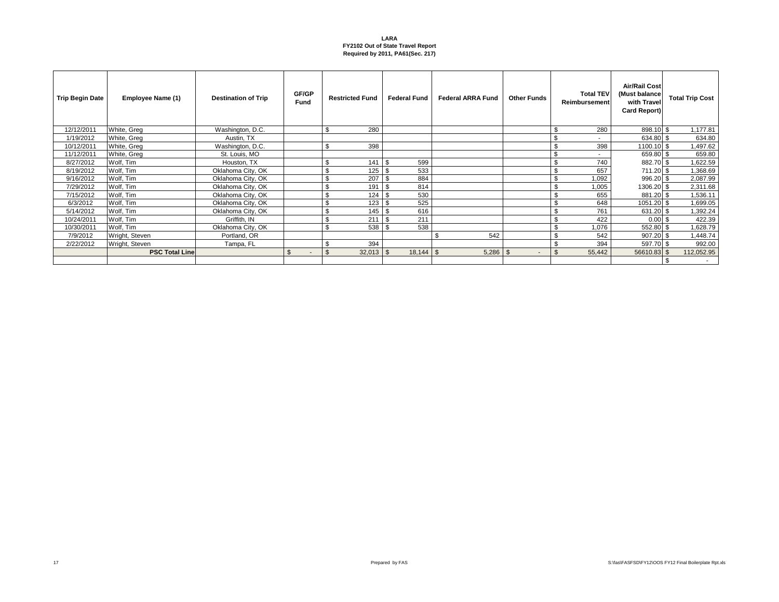| <b>Trip Begin Date</b> | Employee Name (1)     | <b>Destination of Trip</b> | GF/GP<br>Fund            | <b>Restricted Fund</b>   | <b>Federal Fund</b> | <b>Federal ARRA Fund</b> | <b>Other Funds</b>                   | <b>Total TEV</b><br>Reimbursement | <b>Air/Rail Cost</b><br>(Must balance<br>with Travel<br>Card Report) | <b>Total Trip Cost</b> |
|------------------------|-----------------------|----------------------------|--------------------------|--------------------------|---------------------|--------------------------|--------------------------------------|-----------------------------------|----------------------------------------------------------------------|------------------------|
| 12/12/2011             | White, Greg           | Washington, D.C.           |                          | 280<br>ა                 |                     |                          |                                      | 280<br>-S                         | 898.10 \$                                                            | 1,177.81               |
| 1/19/2012              | White, Greg           | Austin, TX                 |                          |                          |                     |                          |                                      | \$                                | 634.80                                                               | \$.<br>634.80          |
| 10/12/2011             | White, Greg           | Washington, D.C.           |                          | 398<br>\$                |                     |                          |                                      | \$<br>398                         | 1100.10 \$                                                           | 1,497.62               |
| 11/12/2011             | White, Greg           | St. Louis, MO              |                          |                          |                     |                          |                                      | <b>S</b><br>٠                     | 659.80                                                               | 659.80                 |
| 8/27/2012              | Wolf, Tim             | Houston, TX                |                          | 141<br>\$                | 599<br>. ጽ          |                          |                                      | \$<br>740                         | 882.70 \$                                                            | 1,622.59               |
| 8/19/2012              | Wolf, Tim             | Oklahoma City, OK          |                          | 125<br>ა                 | 533                 |                          |                                      | \$<br>657                         | 711.20 \$                                                            | 1,368.69               |
| 9/16/2012              | Wolf, Tim             | Oklahoma City, OK          |                          | 207<br>۰JD               | 884<br>- \$         |                          |                                      | \$<br>1,092                       | 996.20 \$                                                            | 2,087.99               |
| 7/29/2012              | Wolf, Tim             | Oklahoma City, OK          |                          | 191<br>\$                | 814<br>- \$         |                          |                                      | \$<br>1,005                       | 1306.20 \$                                                           | 2,311.68               |
| 7/15/2012              | Wolf, Tim             | Oklahoma City, OK          |                          | \$<br>124                | 530<br>- \$         |                          |                                      | \$<br>655                         | 881.20 \$                                                            | 1,536.11               |
| 6/3/2012               | Wolf, Tim             | Oklahoma City, OK          |                          | 123<br>ა                 | 525<br>- \$         |                          |                                      | \$<br>648                         | 1051.20 \$                                                           | 1,699.05               |
| 5/14/2012              | Wolf, Tim             | Oklahoma City, OK          |                          | 145<br>ა                 | 616<br>- \$         |                          |                                      | \$<br>761                         | 631.20                                                               | 1,392.24               |
| 10/24/2011             | Wolf, Tim             | Griffith, IN               |                          | $\triangle$<br>211<br>.ზ | 211<br>.\$          |                          |                                      | \$<br>422                         | 0.00                                                                 | 422.39<br>. ፍ          |
| 10/30/2011             | Wolf, Tim             | Oklahoma City, OK          |                          | <sup>\$</sup><br>538     | 538                 |                          |                                      | - \$<br>1,076                     | 552.80                                                               | 1,628.79               |
| 7/9/2012               | Wright, Steven        | Portland, OR               |                          |                          |                     | \$<br>542                |                                      | \$<br>542                         | 907.20                                                               | 1,448.74<br>. ፍ        |
| 2/22/2012              | Wright, Steven        | Tampa, FL                  |                          | 394<br>- 30              |                     |                          |                                      | \$<br>394                         | 597.70                                                               | 992.00<br>. ፍ          |
|                        | <b>PSC Total Line</b> |                            | $\mathfrak{L}$<br>$\sim$ | -\$<br>$32,013$ \$       |                     | 5,286                    | <b>S</b><br>$\overline{\phantom{a}}$ | \$<br>55,442                      | 56610.83                                                             | \$<br>112,052.95       |
|                        |                       |                            |                          |                          |                     |                          |                                      |                                   |                                                                      | $\sim$                 |